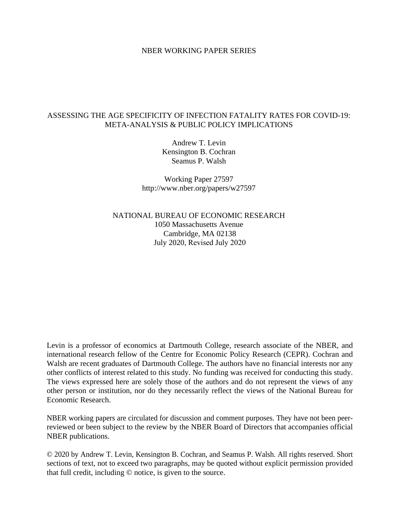#### NBER WORKING PAPER SERIES

### ASSESSING THE AGE SPECIFICITY OF INFECTION FATALITY RATES FOR COVID-19: META-ANALYSIS & PUBLIC POLICY IMPLICATIONS

Andrew T. Levin Kensington B. Cochran Seamus P. Walsh

Working Paper 27597 http://www.nber.org/papers/w27597

NATIONAL BUREAU OF ECONOMIC RESEARCH 1050 Massachusetts Avenue Cambridge, MA 02138 July 2020, Revised July 2020

Levin is a professor of economics at Dartmouth College, research associate of the NBER, and international research fellow of the Centre for Economic Policy Research (CEPR). Cochran and Walsh are recent graduates of Dartmouth College. The authors have no financial interests nor any other conflicts of interest related to this study. No funding was received for conducting this study. The views expressed here are solely those of the authors and do not represent the views of any other person or institution, nor do they necessarily reflect the views of the National Bureau for Economic Research.

NBER working papers are circulated for discussion and comment purposes. They have not been peerreviewed or been subject to the review by the NBER Board of Directors that accompanies official NBER publications.

© 2020 by Andrew T. Levin, Kensington B. Cochran, and Seamus P. Walsh. All rights reserved. Short sections of text, not to exceed two paragraphs, may be quoted without explicit permission provided that full credit, including © notice, is given to the source.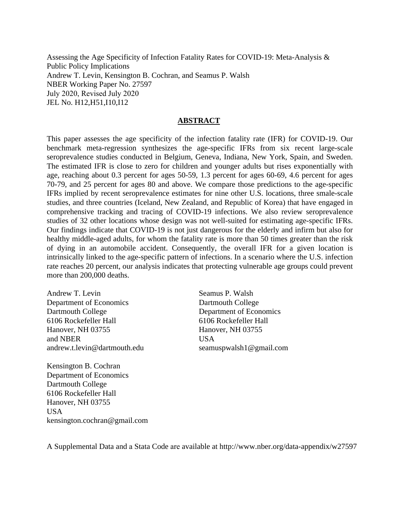Assessing the Age Specificity of Infection Fatality Rates for COVID-19: Meta-Analysis & Public Policy Implications Andrew T. Levin, Kensington B. Cochran, and Seamus P. Walsh NBER Working Paper No. 27597 July 2020, Revised July 2020 JEL No. H12,H51,I10,I12

#### **ABSTRACT**

This paper assesses the age specificity of the infection fatality rate (IFR) for COVID-19. Our benchmark meta-regression synthesizes the age-specific IFRs from six recent large-scale seroprevalence studies conducted in Belgium, Geneva, Indiana, New York, Spain, and Sweden. The estimated IFR is close to zero for children and younger adults but rises exponentially with age, reaching about 0.3 percent for ages 50-59, 1.3 percent for ages 60-69, 4.6 percent for ages 70-79, and 25 percent for ages 80 and above. We compare those predictions to the age-specific IFRs implied by recent seroprevalence estimates for nine other U.S. locations, three smale-scale studies, and three countries (Iceland, New Zealand, and Republic of Korea) that have engaged in comprehensive tracking and tracing of COVID-19 infections. We also review seroprevalence studies of 32 other locations whose design was not well-suited for estimating age-specific IFRs. Our findings indicate that COVID-19 is not just dangerous for the elderly and infirm but also for healthy middle-aged adults, for whom the fatality rate is more than 50 times greater than the risk of dying in an automobile accident. Consequently, the overall IFR for a given location is intrinsically linked to the age-specific pattern of infections. In a scenario where the U.S. infection rate reaches 20 percent, our analysis indicates that protecting vulnerable age groups could prevent more than 200,000 deaths.

Andrew T. Levin Department of Economics Dartmouth College 6106 Rockefeller Hall Hanover, NH 03755 and NBER andrew.t.levin@dartmouth.edu

Seamus P. Walsh Dartmouth College Department of Economics 6106 Rockefeller Hall Hanover, NH 03755 USA seamuspwalsh1@gmail.com

Kensington B. Cochran Department of Economics Dartmouth College 6106 Rockefeller Hall Hanover, NH 03755 USA kensington.cochran@gmail.com

A Supplemental Data and a Stata Code are available at http://www.nber.org/data-appendix/w27597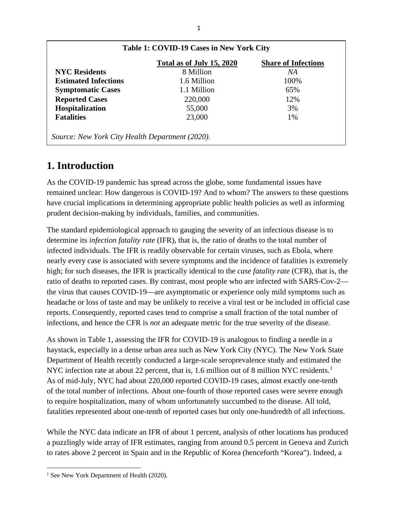|                             | Total as of July 15, 2020 | <b>Share of Infections</b> |
|-----------------------------|---------------------------|----------------------------|
| <b>NYC Residents</b>        | 8 Million                 | NA                         |
| <b>Estimated Infections</b> | 1.6 Million               | 100%                       |
| <b>Symptomatic Cases</b>    | 1.1 Million               | 65%                        |
| <b>Reported Cases</b>       | 220,000                   | 12%                        |
| Hospitalization             | 55,000                    | 3%                         |
| <b>Fatalities</b>           | 23,000                    | 1%                         |

# **1. Introduction**

As the COVID-19 pandemic has spread across the globe, some fundamental issues have remained unclear: How dangerous is COVID-19? And to whom? The answers to these questions have crucial implications in determining appropriate public health policies as well as informing prudent decision-making by individuals, families, and communities.

The standard epidemiological approach to gauging the severity of an infectious disease is to determine its *infection fatality rate* (IFR), that is, the ratio of deaths to the total number of infected individuals. The IFR is readily observable for certain viruses, such as Ebola, where nearly every case is associated with severe symptoms and the incidence of fatalities is extremely high; for such diseases, the IFR is practically identical to the *case fatality rate* (CFR), that is, the ratio of deaths to reported cases. By contrast, most people who are infected with SARS-Cov-2 the virus that causes COVID-19—are asymptomatic or experience only mild symptoms such as headache or loss of taste and may be unlikely to receive a viral test or be included in official case reports. Consequently, reported cases tend to comprise a small fraction of the total number of infections, and hence the CFR is *not* an adequate metric for the true severity of the disease.

As shown in Table 1, assessing the IFR for COVID-19 is analogous to finding a needle in a haystack, especially in a dense urban area such as New York City (NYC). The New York State Department of Health recently conducted a large-scale seroprevalence study and estimated the NYC infection rate at about 22 percent, that is, [1](#page-2-0).6 million out of 8 million NYC residents.<sup>1</sup> As of mid-July, NYC had about 220,000 reported COVID-19 cases, almost exactly one-tenth of the total number of infections. About one-fourth of those reported cases were severe enough to require hospitalization, many of whom unfortunately succumbed to the disease. All told, fatalities represented about one-tenth of reported cases but only one-hundredth of all infections.

While the NYC data indicate an IFR of about 1 percent, analysis of other locations has produced a puzzlingly wide array of IFR estimates, ranging from around 0.5 percent in Geneva and Zurich to rates above 2 percent in Spain and in the Republic of Korea (henceforth "Korea"). Indeed, a

<span id="page-2-0"></span><sup>&</sup>lt;sup>1</sup> See New York Department of Health (2020).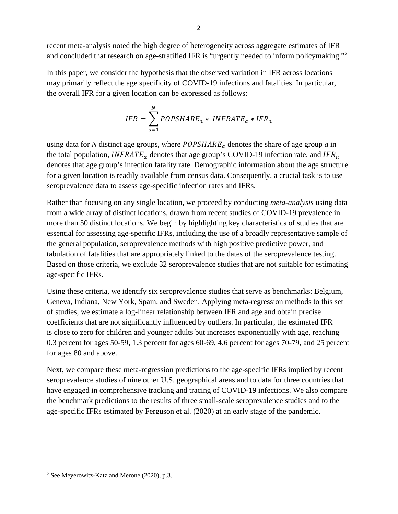recent meta-analysis noted the high degree of heterogeneity across aggregate estimates of IFR and concluded that research on age-stratified IFR is "urgently needed to inform policymaking."[2](#page-3-0)

In this paper, we consider the hypothesis that the observed variation in IFR across locations may primarily reflect the age specificity of COVID-19 infections and fatalities. In particular, the overall IFR for a given location can be expressed as follows:

$$
IFR = \sum_{a=1}^{N} POPSHARE_a * INFRATE_a * IFR_a
$$

using data for *N* distinct age groups, where  $POPSHARE_a$  denotes the share of age group *a* in the total population, *INFRATE*<sub>*a*</sub> denotes that age group's COVID-19 infection rate, and *IFR*<sub>*a*</sub> denotes that age group's infection fatality rate. Demographic information about the age structure for a given location is readily available from census data. Consequently, a crucial task is to use seroprevalence data to assess age-specific infection rates and IFRs.

Rather than focusing on any single location, we proceed by conducting *meta-analysis* using data from a wide array of distinct locations, drawn from recent studies of COVID-19 prevalence in more than 50 distinct locations. We begin by highlighting key characteristics of studies that are essential for assessing age-specific IFRs, including the use of a broadly representative sample of the general population, seroprevalence methods with high positive predictive power, and tabulation of fatalities that are appropriately linked to the dates of the seroprevalence testing. Based on those criteria, we exclude 32 seroprevalence studies that are not suitable for estimating age-specific IFRs.

Using these criteria, we identify six seroprevalence studies that serve as benchmarks: Belgium, Geneva, Indiana, New York, Spain, and Sweden. Applying meta-regression methods to this set of studies, we estimate a log-linear relationship between IFR and age and obtain precise coefficients that are not significantly influenced by outliers. In particular, the estimated IFR is close to zero for children and younger adults but increases exponentially with age, reaching 0.3 percent for ages 50-59, 1.3 percent for ages 60-69, 4.6 percent for ages 70-79, and 25 percent for ages 80 and above.

Next, we compare these meta-regression predictions to the age-specific IFRs implied by recent seroprevalence studies of nine other U.S. geographical areas and to data for three countries that have engaged in comprehensive tracking and tracing of COVID-19 infections. We also compare the benchmark predictions to the results of three small-scale seroprevalence studies and to the age-specific IFRs estimated by Ferguson et al. (2020) at an early stage of the pandemic.

<span id="page-3-0"></span><sup>2</sup> See Meyerowitz-Katz and Merone (2020), p.3.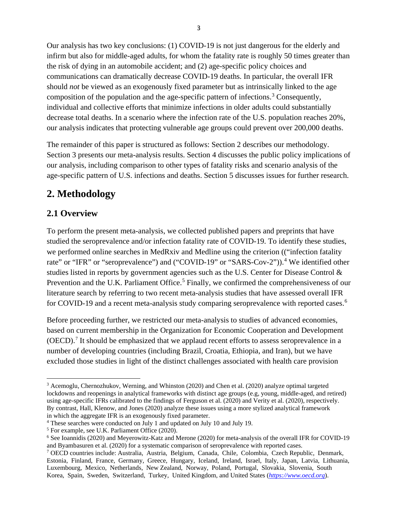Our analysis has two key conclusions: (1) COVID-19 is not just dangerous for the elderly and infirm but also for middle-aged adults, for whom the fatality rate is roughly 50 times greater than the risk of dying in an automobile accident; and (2) age-specific policy choices and communications can dramatically decrease COVID-19 deaths. In particular, the overall IFR should *not* be viewed as an exogenously fixed parameter but as intrinsically linked to the age composition of the population and the age-specific pattern of infections.<sup>[3](#page-4-0)</sup> Consequently, individual and collective efforts that minimize infections in older adults could substantially decrease total deaths. In a scenario where the infection rate of the U.S. population reaches 20%, our analysis indicates that protecting vulnerable age groups could prevent over 200,000 deaths.

The remainder of this paper is structured as follows: Section 2 describes our methodology. Section 3 presents our meta-analysis results. Section 4 discusses the public policy implications of our analysis, including comparison to other types of fatality risks and scenario analysis of the age-specific pattern of U.S. infections and deaths. Section 5 discusses issues for further research.

# **2. Methodology**

# **2.1 Overview**

To perform the present meta-analysis, we collected published papers and preprints that have studied the seroprevalence and/or infection fatality rate of COVID-19. To identify these studies, we performed online searches in MedRxiv and Medline using the criterion (("infection fatality rate" or "IFR" or "seroprevalence") and ("COVID-19" or "SARS-Cov-2")).<sup>[4](#page-4-1)</sup> We identified other studies listed in reports by government agencies such as the U.S. Center for Disease Control & Prevention and the U.K. Parliament Office.<sup>[5](#page-4-2)</sup> Finally, we confirmed the comprehensiveness of our literature search by referring to two recent meta-analysis studies that have assessed overall IFR for COVID-19 and a recent meta-analysis study comparing seroprevalence with reported cases.<sup>[6](#page-4-3)</sup>

Before proceeding further, we restricted our meta-analysis to studies of advanced economies, based on current membership in the Organization for Economic Cooperation and Development (OECD).<sup>[7](#page-4-4)</sup> It should be emphasized that we applaud recent efforts to assess seroprevalence in a number of developing countries (including Brazil, Croatia, Ethiopia, and Iran), but we have excluded those studies in light of the distinct challenges associated with health care provision

<span id="page-4-0"></span><sup>3</sup> Acemoglu, Chernozhukov, Werning, and Whinston (2020) and Chen et al. (2020) analyze optimal targeted lockdowns and reopenings in analytical frameworks with distinct age groups (e.g, young, middle-aged, and retired) using age-specific IFRs calibrated to the findings of Ferguson et al. (2020) and Verity et al. (2020), respectively. By contrast, Hall, Klenow, and Jones (2020) analyze these issues using a more stylized analytical framework in which the aggregate IFR is an exogenously fixed parameter.

<span id="page-4-1"></span><sup>4</sup> These searches were conducted on July 1 and updated on July 10 and July 19.

<span id="page-4-2"></span><sup>5</sup> For example, see U.K. Parliament Office (2020).

<span id="page-4-3"></span><sup>6</sup> See Ioannidis (2020) and Meyerowitz-Katz and Merone (2020) for meta-analysis of the overall IFR for COVID-19 and Byambasuren et al. (2020) for a systematic comparison of seroprevalence with reported cases.

<span id="page-4-4"></span><sup>7</sup> OECD countries include: Australia, Austria, Belgium, Canada, Chile, Colombia, Czech Republic, Denmark, Estonia, Finland, France, Germany, Greece, Hungary, Iceland, Ireland, Israel, Italy, Japan, Latvia, Lithuania, Luxembourg, Mexico, Netherlands, New Zealand, Norway, Poland, Portugal, Slovakia, Slovenia, South Korea, Spain, Sweden, Switzerland, Turkey, United Kingdom, and United States (*[https://www.oecd.org](https://www.oecd.org/)*).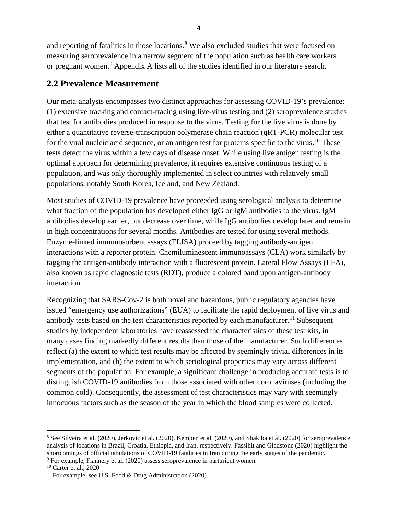and reporting of fatalities in those locations.<sup>[8](#page-5-0)</sup> We also excluded studies that were focused on measuring seroprevalence in a narrow segment of the population such as health care workers or pregnant women.<sup>[9](#page-5-1)</sup> Appendix A lists all of the studies identified in our literature search.

# **2.2 Prevalence Measurement**

Our meta-analysis encompasses two distinct approaches for assessing COVID-19's prevalence: (1) extensive tracking and contact-tracing using live-virus testing and (2) seroprevalence studies that test for antibodies produced in response to the virus. Testing for the live virus is done by either a quantitative reverse-transcription polymerase chain reaction (qRT-PCR) molecular test for the viral nucleic acid sequence, or an antigen test for proteins specific to the virus.<sup>[10](#page-5-2)</sup> These tests detect the virus within a few days of disease onset. While using live antigen testing is the optimal approach for determining prevalence, it requires extensive continuous testing of a population, and was only thoroughly implemented in select countries with relatively small populations, notably South Korea, Iceland, and New Zealand.

Most studies of COVID-19 prevalence have proceeded using serological analysis to determine what fraction of the population has developed either IgG or IgM antibodies to the virus. IgM antibodies develop earlier, but decrease over time, while IgG antibodies develop later and remain in high concentrations for several months. Antibodies are tested for using several methods. Enzyme-linked immunosorbent assays (ELISA) proceed by tagging antibody-antigen interactions with a reporter protein. Chemiluminescent immunoassays (CLA) work similarly by tagging the antigen-antibody interaction with a fluorescent protein. Lateral Flow Assays (LFA), also known as rapid diagnostic tests (RDT), produce a colored band upon antigen-antibody interaction.

Recognizing that SARS-Cov-2 is both novel and hazardous, public regulatory agencies have issued "emergency use authorizations" (EUA) to facilitate the rapid deployment of live virus and antibody tests based on the test characteristics reported by each manufacturer.<sup>11</sup> Subsequent studies by independent laboratories have reassessed the characteristics of these test kits, in many cases finding markedly different results than those of the manufacturer. Such differences reflect (a) the extent to which test results may be affected by seemingly trivial differences in its implementation, and (b) the extent to which seriological properties may vary across different segments of the population. For example, a significant challenge in producing accurate tests is to distinguish COVID-19 antibodies from those associated with other coronaviruses (including the common cold). Consequently, the assessment of test characteristics may vary with seemingly innocuous factors such as the season of the year in which the blood samples were collected.

<span id="page-5-1"></span><sup>9</sup> For example, Flannery et al. (2020) assess seroprevalence in parturient women.

<span id="page-5-0"></span><sup>8</sup> See Silveira et al. (2020), Jerkovic et al. (2020), Kempen et al. (2020), and Shakiba et al. (2020) for seroprevalence analysis of locations in Brazil, Croatia, Ethiopia, and Iran, respectively. Fassihit and Gladstone (2020) highlight the shortcomings of official tabulations of COVID-19 fatalities in Iran during the early stages of the pandemic.

<span id="page-5-2"></span><sup>10</sup> Carter et al., 2020

<span id="page-5-3"></span><sup>&</sup>lt;sup>11</sup> For example, see U.S. Food & Drug Administration (2020).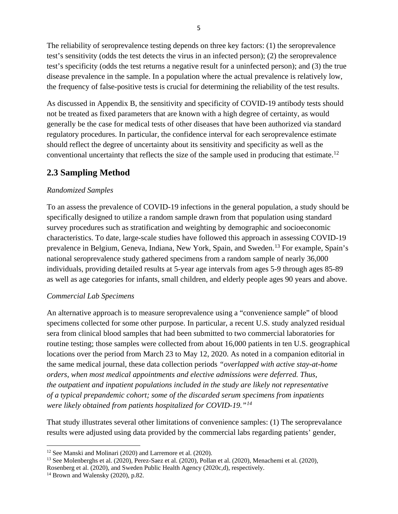The reliability of seroprevalence testing depends on three key factors: (1) the seroprevalence test's sensitivity (odds the test detects the virus in an infected person); (2) the seroprevalence test's specificity (odds the test returns a negative result for a uninfected person); and (3) the true disease prevalence in the sample. In a population where the actual prevalence is relatively low, the frequency of false-positive tests is crucial for determining the reliability of the test results.

As discussed in Appendix B, the sensitivity and specificity of COVID-19 antibody tests should not be treated as fixed parameters that are known with a high degree of certainty, as would generally be the case for medical tests of other diseases that have been authorized via standard regulatory procedures. In particular, the confidence interval for each seroprevalence estimate should reflect the degree of uncertainty about its sensitivity and specificity as well as the conventional uncertainty that reflects the size of the sample used in producing that estimate.<sup>[12](#page-6-0)</sup>

# **2.3 Sampling Method**

## *Randomized Samples*

To an assess the prevalence of COVID-19 infections in the general population, a study should be specifically designed to utilize a random sample drawn from that population using standard survey procedures such as stratification and weighting by demographic and socioeconomic characteristics. To date, large-scale studies have followed this approach in assessing COVID-19 prevalence in Belgium, Geneva, Indiana, New York, Spain, and Sweden.[13](#page-6-1) For example, Spain's national seroprevalence study gathered specimens from a random sample of nearly 36,000 individuals, providing detailed results at 5-year age intervals from ages 5-9 through ages 85-89 as well as age categories for infants, small children, and elderly people ages 90 years and above.

## *Commercial Lab Specimens*

An alternative approach is to measure seroprevalence using a "convenience sample" of blood specimens collected for some other purpose. In particular, a recent U.S. study analyzed residual sera from clinical blood samples that had been submitted to two commercial laboratories for routine testing; those samples were collected from about 16,000 patients in ten U.S. geographical locations over the period from March 23 to May 12, 2020. As noted in a companion editorial in the same medical journal, these data collection periods *"overlapped with active stay-at-home orders, when most medical appointments and elective admissions were deferred. Thus, the outpatient and inpatient populations included in the study are likely not representative of a typical prepandemic cohort; some of the discarded serum specimens from inpatients were likely obtained from patients hospitalized for COVID-19."[14](#page-6-2)*

That study illustrates several other limitations of convenience samples: (1) The seroprevalance results were adjusted using data provided by the commercial labs regarding patients' gender,

<span id="page-6-0"></span><sup>&</sup>lt;sup>12</sup> See Manski and Molinari (2020) and Larremore et al. (2020).

<span id="page-6-1"></span><sup>&</sup>lt;sup>13</sup> See Molenberghs et al. (2020), Perez-Saez et al. (2020), Pollan et al. (2020), Menachemi et al. (2020),

Rosenberg et al. (2020), and Sweden Public Health Agency (2020c,d), respectively.

<span id="page-6-2"></span><sup>&</sup>lt;sup>14</sup> Brown and Walensky (2020), p.82.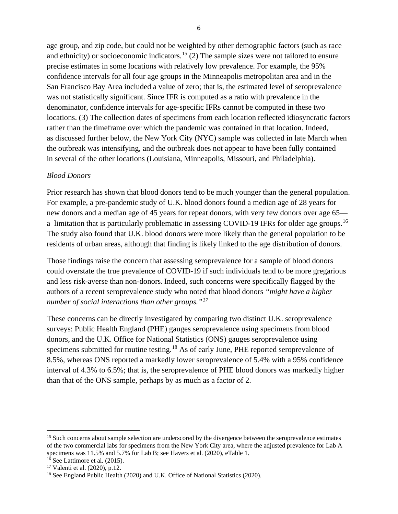age group, and zip code, but could not be weighted by other demographic factors (such as race and ethnicity) or socioeconomic indicators.<sup>[15](#page-7-0)</sup> (2) The sample sizes were not tailored to ensure precise estimates in some locations with relatively low prevalence. For example, the 95% confidence intervals for all four age groups in the Minneapolis metropolitan area and in the San Francisco Bay Area included a value of zero; that is, the estimated level of seroprevalence was not statistically significant. Since IFR is computed as a ratio with prevalence in the denominator, confidence intervals for age-specific IFRs cannot be computed in these two locations. (3) The collection dates of specimens from each location reflected idiosyncratic factors rather than the timeframe over which the pandemic was contained in that location. Indeed, as discussed further below, the New York City (NYC) sample was collected in late March when the outbreak was intensifying, and the outbreak does not appear to have been fully contained in several of the other locations (Louisiana, Minneapolis, Missouri, and Philadelphia).

### *Blood Donors*

Prior research has shown that blood donors tend to be much younger than the general population. For example, a pre-pandemic study of U.K. blood donors found a median age of 28 years for new donors and a median age of 45 years for repeat donors, with very few donors over age 65— a limitation that is particularly problematic in assessing COVID-19 IFRs for older age groups.<sup>[16](#page-7-1)</sup> The study also found that U.K. blood donors were more likely than the general population to be residents of urban areas, although that finding is likely linked to the age distribution of donors.

Those findings raise the concern that assessing seroprevalence for a sample of blood donors could overstate the true prevalence of COVID-19 if such individuals tend to be more gregarious and less risk-averse than non-donors. Indeed, such concerns were specifically flagged by the authors of a recent seroprevalence study who noted that blood donors *"might have a higher number of social interactions than other groups."[17](#page-7-2)*

These concerns can be directly investigated by comparing two distinct U.K. seroprevalence surveys: Public Health England (PHE) gauges seroprevalence using specimens from blood donors, and the U.K. Office for National Statistics (ONS) gauges seroprevalence using specimens submitted for routine testing.<sup>[18](#page-7-3)</sup> As of early June, PHE reported seroprevalence of 8.5%, whereas ONS reported a markedly lower seroprevalence of 5.4% with a 95% confidence interval of 4.3% to 6.5%; that is, the seroprevalence of PHE blood donors was markedly higher than that of the ONS sample, perhaps by as much as a factor of 2.

<span id="page-7-0"></span><sup>&</sup>lt;sup>15</sup> Such concerns about sample selection are underscored by the divergence between the seroprevalence estimates of the two commercial labs for specimens from the New York City area, where the adjusted prevalence for Lab A specimens was 11.5% and 5.7% for Lab B; see Havers et al. (2020), eTable 1.<br><sup>16</sup> See Lattimore et al. (2015).

<span id="page-7-2"></span><span id="page-7-1"></span> $17$  Valenti et al. (2020), p.12.

<span id="page-7-3"></span><sup>&</sup>lt;sup>18</sup> See England Public Health (2020) and U.K. Office of National Statistics (2020).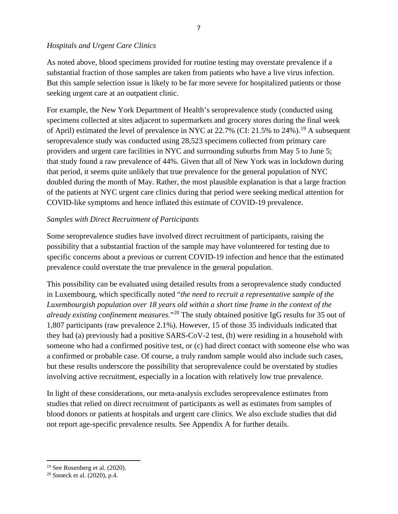### *Hospitals and Urgent Care Clinics*

As noted above, blood specimens provided for routine testing may overstate prevalence if a substantial fraction of those samples are taken from patients who have a live virus infection. But this sample selection issue is likely to be far more severe for hospitalized patients or those seeking urgent care at an outpatient clinic.

For example, the New York Department of Health's seroprevalence study (conducted using specimens collected at sites adjacent to supermarkets and grocery stores during the final week of April) estimated the level of prevalence in NYC at  $22.7\%$  (CI:  $21.5\%$  to  $24\%$ ).<sup>19</sup> A subsequent seroprevalence study was conducted using 28,523 specimens collected from primary care providers and urgent care facilities in NYC and surrounding suburbs from May 5 to June 5; that study found a raw prevalence of 44%. Given that all of New York was in lockdown during that period, it seems quite unlikely that true prevalence for the general population of NYC doubled during the month of May. Rather, the most plausible explanation is that a large fraction of the patients at NYC urgent care clinics during that period were seeking medical attention for COVID-like symptoms and hence inflated this estimate of COVID-19 prevalence.

## *Samples with Direct Recruitment of Participants*

Some seroprevalence studies have involved direct recruitment of participants, raising the possibility that a substantial fraction of the sample may have volunteered for testing due to specific concerns about a previous or current COVID-19 infection and hence that the estimated prevalence could overstate the true prevalence in the general population.

This possibility can be evaluated using detailed results from a seroprevalence study conducted in Luxembourg, which specifically noted "*the need to recruit a representative sample of the Luxembourgish population over 18 years old within a short time frame in the context of the already existing confinement measures.*"[20](#page-8-1) The study obtained positive IgG results for 35 out of 1,807 participants (raw prevalence 2.1%). However, 15 of those 35 individuals indicated that they had (a) previously had a positive SARS-CoV-2 test, (b) were residing in a household with someone who had a confirmed positive test, or (c) had direct contact with someone else who was a confirmed or probable case. Of course, a truly random sample would also include such cases, but these results underscore the possibility that seroprevalence could be overstated by studies involving active recruitment, especially in a location with relatively low true prevalence.

In light of these considerations, our meta-analysis excludes seroprevalence estimates from studies that relied on direct recruitment of participants as well as estimates from samples of blood donors or patients at hospitals and urgent care clinics. We also exclude studies that did not report age-specific prevalence results. See Appendix A for further details.

<span id="page-8-0"></span><sup>19</sup> See Rosenberg et al. (2020).

<span id="page-8-1"></span><sup>20</sup> Snoeck et al. (2020), p.4.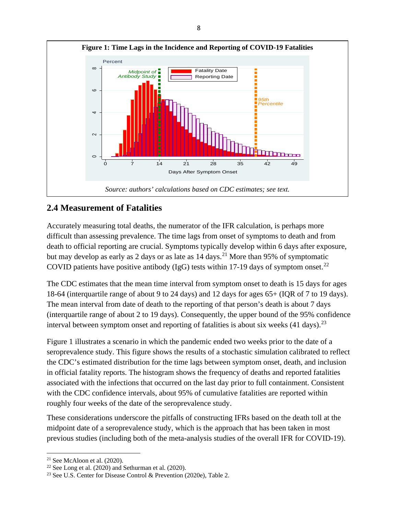

## **2.4 Measurement of Fatalities**

Accurately measuring total deaths, the numerator of the IFR calculation, is perhaps more difficult than assessing prevalence. The time lags from onset of symptoms to death and from death to official reporting are crucial. Symptoms typically develop within 6 days after exposure, but may develop as early as 2 days or as late as  $14 \text{ days}$ .<sup>21</sup> More than 95% of symptomatic COVID patients have positive antibody (IgG) tests within 17-19 days of symptom onset.<sup>[22](#page-9-1)</sup>

The CDC estimates that the mean time interval from symptom onset to death is 15 days for ages 18-64 (interquartile range of about 9 to 24 days) and 12 days for ages 65+ (IQR of 7 to 19 days). The mean interval from date of death to the reporting of that person's death is about 7 days (interquartile range of about 2 to 19 days). Consequently, the upper bound of the 95% confidence interval between symptom onset and reporting of fatalities is about six weeks  $(41 \text{ days})$ .<sup>[23](#page-9-2)</sup>

Figure 1 illustrates a scenario in which the pandemic ended two weeks prior to the date of a seroprevalence study. This figure shows the results of a stochastic simulation calibrated to reflect the CDC's estimated distribution for the time lags between symptom onset, death, and inclusion in official fatality reports. The histogram shows the frequency of deaths and reported fatalities associated with the infections that occurred on the last day prior to full containment. Consistent with the CDC confidence intervals, about 95% of cumulative fatalities are reported within roughly four weeks of the date of the seroprevalence study.

These considerations underscore the pitfalls of constructing IFRs based on the death toll at the midpoint date of a seroprevalence study, which is the approach that has been taken in most previous studies (including both of the meta-analysis studies of the overall IFR for COVID-19).

<span id="page-9-0"></span> $21$  See McAloon et al. (2020).

<span id="page-9-1"></span><sup>&</sup>lt;sup>22</sup> See Long et al. (2020) and Sethurman et al. (2020).

<span id="page-9-2"></span><sup>&</sup>lt;sup>23</sup> See U.S. Center for Disease Control & Prevention (2020e), Table 2.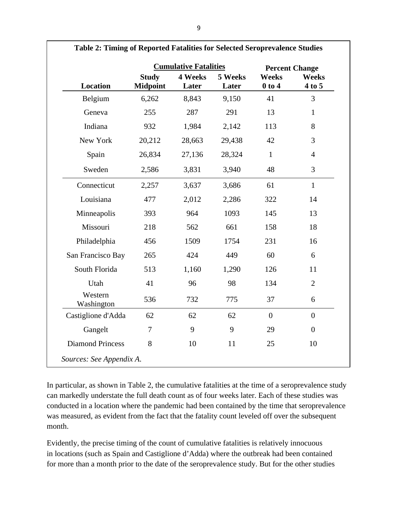|                         |                                 | <b>Cumulative Fatalities</b> |                  | <b>Percent Change</b>      |                        |
|-------------------------|---------------------------------|------------------------------|------------------|----------------------------|------------------------|
| <b>Location</b>         | <b>Study</b><br><b>Midpoint</b> | 4 Weeks<br>Later             | 5 Weeks<br>Later | <b>Weeks</b><br>$0$ to $4$ | <b>Weeks</b><br>4 to 5 |
| Belgium                 | 6,262                           | 8,843                        | 9,150            | 41                         | $\overline{3}$         |
| Geneva                  | 255                             | 287                          | 291              | 13                         | $\mathbf{1}$           |
| Indiana                 | 932                             | 1,984                        | 2,142            | 113                        | 8                      |
| New York                | 20,212                          | 28,663                       | 29,438           | 42                         | 3                      |
| Spain                   | 26,834                          | 27,136                       | 28,324           | $\mathbf{1}$               | $\overline{4}$         |
| Sweden                  | 2,586                           | 3,831                        | 3,940            | 48                         | 3                      |
| Connecticut             | 2,257                           | 3,637                        | 3,686            | 61                         | $\mathbf{1}$           |
| Louisiana               | 477                             | 2,012                        | 2,286            | 322                        | 14                     |
| Minneapolis             | 393                             | 964                          | 1093             | 145                        | 13                     |
| Missouri                | 218                             | 562                          | 661              | 158                        | 18                     |
| Philadelphia            | 456                             | 1509                         | 1754             | 231                        | 16                     |
| San Francisco Bay       | 265                             | 424                          | 449              | 60                         | 6                      |
| South Florida           | 513                             | 1,160                        | 1,290            | 126                        | 11                     |
| Utah                    | 41                              | 96                           | 98               | 134                        | $\overline{2}$         |
| Western<br>Washington   | 536                             | 732                          | 775              | 37                         | 6                      |
| Castiglione d'Adda      | 62                              | 62                           | 62               | $\boldsymbol{0}$           | $\boldsymbol{0}$       |
| Gangelt                 | $\overline{7}$                  | 9                            | 9                | 29                         | $\boldsymbol{0}$       |
| <b>Diamond Princess</b> | 8                               | 10                           | 11               | 25                         | 10                     |

**Table 2: Timing of Reported Fatalities for Selected Seroprevalence Studies**

In particular, as shown in Table 2, the cumulative fatalities at the time of a seroprevalence study can markedly understate the full death count as of four weeks later. Each of these studies was conducted in a location where the pandemic had been contained by the time that seroprevalence was measured, as evident from the fact that the fatality count leveled off over the subsequent month.

Evidently, the precise timing of the count of cumulative fatalities is relatively innocuous in locations (such as Spain and Castiglione d'Adda) where the outbreak had been contained for more than a month prior to the date of the seroprevalence study. But for the other studies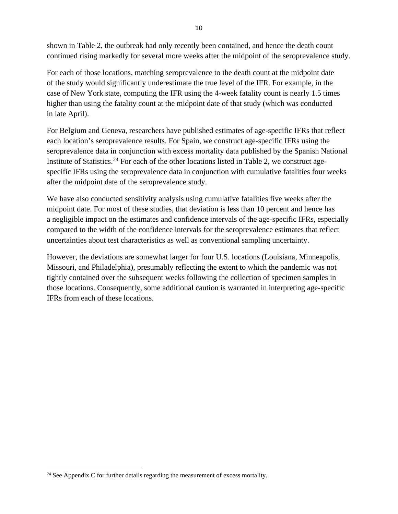shown in Table 2, the outbreak had only recently been contained, and hence the death count continued rising markedly for several more weeks after the midpoint of the seroprevalence study.

For each of those locations, matching seroprevalence to the death count at the midpoint date of the study would significantly underestimate the true level of the IFR. For example, in the case of New York state, computing the IFR using the 4-week fatality count is nearly 1.5 times higher than using the fatality count at the midpoint date of that study (which was conducted in late April).

For Belgium and Geneva, researchers have published estimates of age-specific IFRs that reflect each location's seroprevalence results. For Spain, we construct age-specific IFRs using the seroprevalence data in conjunction with excess mortality data published by the Spanish National Institute of Statistics.<sup>[24](#page-11-0)</sup> For each of the other locations listed in Table 2, we construct agespecific IFRs using the seroprevalence data in conjunction with cumulative fatalities four weeks after the midpoint date of the seroprevalence study.

We have also conducted sensitivity analysis using cumulative fatalities five weeks after the midpoint date. For most of these studies, that deviation is less than 10 percent and hence has a negligible impact on the estimates and confidence intervals of the age-specific IFRs, especially compared to the width of the confidence intervals for the seroprevalence estimates that reflect uncertainties about test characteristics as well as conventional sampling uncertainty.

However, the deviations are somewhat larger for four U.S. locations (Louisiana, Minneapolis, Missouri, and Philadelphia), presumably reflecting the extent to which the pandemic was not tightly contained over the subsequent weeks following the collection of specimen samples in those locations. Consequently, some additional caution is warranted in interpreting age-specific IFRs from each of these locations.

<span id="page-11-0"></span> $24$  See Appendix C for further details regarding the measurement of excess mortality.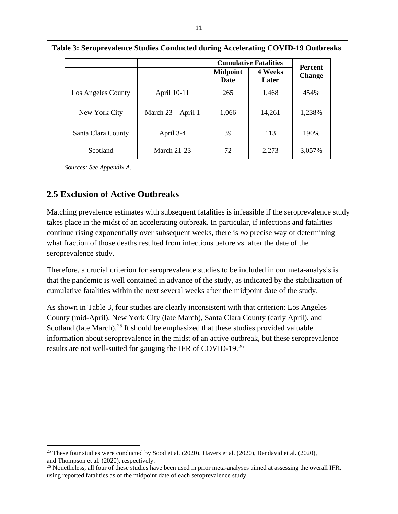|                    |                      |                         | <b>Cumulative Fatalities</b> |                                 |  |
|--------------------|----------------------|-------------------------|------------------------------|---------------------------------|--|
|                    |                      | <b>Midpoint</b><br>Date | 4 Weeks<br>Later             | <b>Percent</b><br><b>Change</b> |  |
| Los Angeles County | April 10-11          | 265                     | 1,468                        | 454%                            |  |
| New York City      | March $23 - April 1$ | 1,066                   | 14,261                       | 1,238%                          |  |
| Santa Clara County | April 3-4            | 39                      | 113                          | 190%                            |  |
| Scotland           | <b>March 21-23</b>   | 72                      | 2,273                        | 3,057%                          |  |

# **2.5 Exclusion of Active Outbreaks**

Matching prevalence estimates with subsequent fatalities is infeasible if the seroprevalence study takes place in the midst of an accelerating outbreak. In particular, if infections and fatalities continue rising exponentially over subsequent weeks, there is *no* precise way of determining what fraction of those deaths resulted from infections before vs. after the date of the seroprevalence study.

Therefore, a crucial criterion for seroprevalence studies to be included in our meta-analysis is that the pandemic is well contained in advance of the study, as indicated by the stabilization of cumulative fatalities within the next several weeks after the midpoint date of the study.

As shown in Table 3, four studies are clearly inconsistent with that criterion: Los Angeles County (mid-April), New York City (late March), Santa Clara County (early April), and Scotland (late March).<sup>[25](#page-12-0)</sup> It should be emphasized that these studies provided valuable information about seroprevalence in the midst of an active outbreak, but these seroprevalence results are not well-suited for gauging the IFR of COVID-19.[26](#page-12-1)

<span id="page-12-0"></span><sup>&</sup>lt;sup>25</sup> These four studies were conducted by Sood et al. (2020), Havers et al. (2020), Bendavid et al. (2020), and Thompson et al. (2020), respectively.

<span id="page-12-1"></span><sup>&</sup>lt;sup>26</sup> Nonetheless, all four of these studies have been used in prior meta-analyses aimed at assessing the overall IFR, using reported fatalities as of the midpoint date of each seroprevalence study.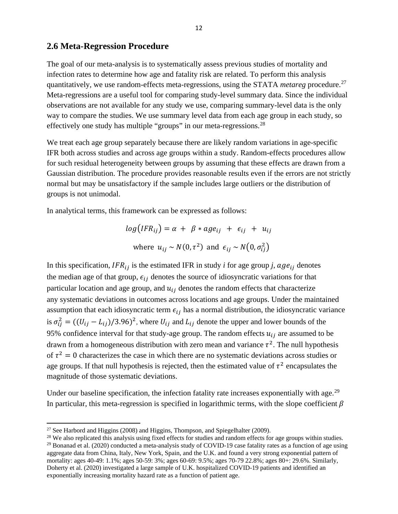### **2.6 Meta-Regression Procedure**

The goal of our meta-analysis is to systematically assess previous studies of mortality and infection rates to determine how age and fatality risk are related. To perform this analysis quantitatively, we use random-effects meta-regressions, using the STATA *metareg* procedure.[27](#page-13-0) Meta-regressions are a useful tool for comparing study-level summary data. Since the individual observations are not available for any study we use, comparing summary-level data is the only way to compare the studies. We use summary level data from each age group in each study, so effectively one study has multiple "groups" in our meta-regressions.[28](#page-13-1)

We treat each age group separately because there are likely random variations in age-specific IFR both across studies and across age groups within a study. Random-effects procedures allow for such residual heterogeneity between groups by assuming that these effects are drawn from a Gaussian distribution. The procedure provides reasonable results even if the errors are not strictly normal but may be unsatisfactory if the sample includes large outliers or the distribution of groups is not unimodal.

In analytical terms, this framework can be expressed as follows:

$$
log(IFR_{ij}) = \alpha + \beta * age_{ij} + \epsilon_{ij} + u_{ij}
$$
  
where  $u_{ij} \sim N(0, \tau^2)$  and  $\epsilon_{ij} \sim N(0, \sigma_{ij}^2)$ 

In this specification,  $IFR_{ij}$  is the estimated IFR in study *i* for age group *j*,  $age_{ij}$  denotes the median age of that group,  $\epsilon_{ij}$  denotes the source of idiosyncratic variations for that particular location and age group, and  $u_{ij}$  denotes the random effects that characterize any systematic deviations in outcomes across locations and age groups. Under the maintained assumption that each idiosyncratic term  $\epsilon_{ij}$  has a normal distribution, the idiosyncratic variance is  $\sigma_{ij}^2 = ((U_{ij} - L_{ij})/3.96)^2$ , where  $U_{ij}$  and  $L_{ij}$  denote the upper and lower bounds of the 95% confidence interval for that study-age group. The random effects  $u_{ij}$  are assumed to be drawn from a homogeneous distribution with zero mean and variance  $\tau^2$ . The null hypothesis of  $\tau^2 = 0$  characterizes the case in which there are no systematic deviations across studies or age groups. If that null hypothesis is rejected, then the estimated value of  $\tau^2$  encapsulates the magnitude of those systematic deviations.

Under our baseline specification, the infection fatality rate increases exponentially with age.<sup>29</sup> In particular, this meta-regression is specified in logarithmic terms, with the slope coefficient  $\beta$ 

<span id="page-13-0"></span> $27$  See Harbord and Higgins (2008) and Higgins, Thompson, and Spiegelhalter (2009).

<span id="page-13-1"></span><sup>&</sup>lt;sup>28</sup> We also replicated this analysis using fixed effects for studies and random effects for age groups within studies.

<span id="page-13-2"></span> $29$  Bonanad et al. (2020) conducted a meta-analysis study of COVID-19 case fatality rates as a function of age using aggregate data from China, Italy, New York, Spain, and the U.K. and found a very strong exponential pattern of mortality: ages 40-49: 1.1%; ages 50-59: 3%; ages 60-69: 9.5%; ages 70-79 22.8%; ages 80+: 29.6%. Similarly, Doherty et al. (2020) investigated a large sample of U.K. hospitalized COVID-19 patients and identified an exponentially increasing mortality hazard rate as a function of patient age.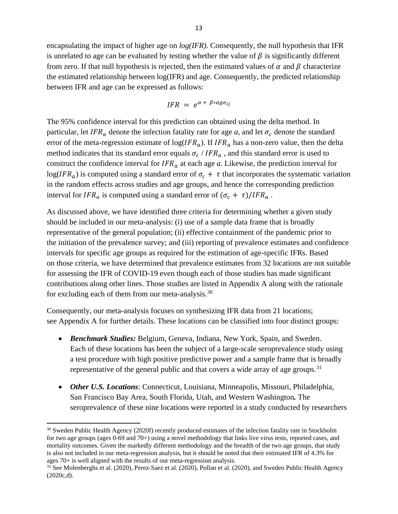encapsulating the impact of higher age on *log(IFR)*. Consequently, the null hypothesis that IFR is unrelated to age can be evaluated by testing whether the value of  $\beta$  is significantly different from zero. If that null hypothesis is rejected, then the estimated values of  $\alpha$  and  $\beta$  characterize the estimated relationship between log(IFR) and age. Consequently, the predicted relationship between IFR and age can be expressed as follows:

$$
IFR = e^{\alpha + \beta * age_{ij}}
$$

The 95% confidence interval for this prediction can obtained using the delta method. In particular, let IFR<sub>a</sub> denote the infection fatality rate for age *a*, and let  $\sigma_c$  denote the standard error of the meta-regression estimate of  $log(IFR_a)$ . If  $IFR_a$  has a non-zero value, then the delta method indicates that its standard error equals  $\sigma_c / IFR_a$ , and this standard error is used to construct the confidence interval for  $IFR_a$  at each age *a*. Likewise, the prediction interval for  $log(IFR_a)$  is computed using a standard error of  $\sigma_c + \tau$  that incorporates the systematic variation in the random effects across studies and age groups, and hence the corresponding prediction interval for  $IFR_a$  is computed using a standard error of  $(\sigma_c + \tau)/IFR_a$ .

As discussed above, we have identified three criteria for determining whether a given study should be included in our meta-analysis: (i) use of a sample data frame that is broadly representative of the general population; (ii) effective containment of the pandemic prior to the initiation of the prevalence survey; and (iii) reporting of prevalence estimates and confidence intervals for specific age groups as required for the estimation of age-specific IFRs. Based on those criteria, we have determined that prevalence estimates from 32 locations are not suitable for assessing the IFR of COVID-19 even though each of those studies has made significant contributions along other lines. Those studies are listed in Appendix A along with the rationale for excluding each of them from our meta-analysis.[30](#page-14-0)

Consequently, our meta-analysis focuses on synthesizing IFR data from 21 locations; see Appendix A for further details. These locations can be classified into four distinct groups:

- *Benchmark Studies:* Belgium, Geneva, Indiana, New York, Spain, and Sweden. Each of these locations has been the subject of a large-scale seroprevalence study using a test procedure with high positive predictive power and a sample frame that is broadly representative of the general public and that covers a wide array of age groups.<sup>[31](#page-14-1)</sup>
- *Other U.S. Locations*: Connecticut, Louisiana, Minneapolis, Missouri, Philadelphia, San Francisco Bay Area, South Florida, Utah, and Western Washington*.* The seroprevalence of these nine locations were reported in a study conducted by researchers

<span id="page-14-0"></span><sup>&</sup>lt;sup>30</sup> Sweden Public Health Agency (2020f) recently produced estimates of the infection fatality rate in Stockholm for two age groups (ages 0-69 and 70+) using a novel methodology that links live virus tests, reported cases, and mortality outcomes. Given the markedly different methodology and the breadth of the two age groups, that study is also not included in our meta-regression analysis, but it should be noted that their estimated IFR of 4.3% for ages 70+ is well aligned with the results of our meta-regression analysis.

<span id="page-14-1"></span><sup>&</sup>lt;sup>31</sup> See Molenberghs et al. (2020), Perez-Saez et al. (2020), Pollan et al. (2020), and Sweden Public Health Agency (2020c,d).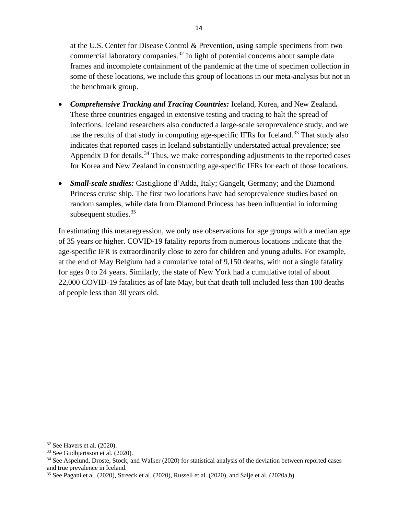at the U.S. Center for Disease Control & Prevention, using sample specimens from two commercial laboratory companies.<sup>[32](#page-15-0)</sup> In light of potential concerns about sample data frames and incomplete containment of the pandemic at the time of specimen collection in some of these locations, we include this group of locations in our meta-analysis but not in the benchmark group.

- *Comprehensive Tracking and Tracing Countries:* Iceland, Korea, and New Zealand*.* These three countries engaged in extensive testing and tracing to halt the spread of infections. Iceland researchers also conducted a large-scale seroprevalence study, and we use the results of that study in computing age-specific IFRs for Iceland.<sup>[33](#page-15-1)</sup> That study also indicates that reported cases in Iceland substantially understated actual prevalence; see Appendix D for details.<sup>34</sup> Thus, we make corresponding adjustments to the reported cases for Korea and New Zealand in constructing age-specific IFRs for each of those locations.
- *Small-scale studies:* Castiglione d'Adda, Italy; Gangelt, Germany; and the Diamond Princess cruise ship. The first two locations have had seroprevalence studies based on random samples, while data from Diamond Princess has been influential in informing subsequent studies. $35$

In estimating this metaregression, we only use observations for age groups with a median age of 35 years or higher. COVID-19 fatality reports from numerous locations indicate that the age-specific IFR is extraordinarily close to zero for children and young adults. For example, at the end of May Belgium had a cumulative total of 9,150 deaths, with not a single fatality for ages 0 to 24 years. Similarly, the state of New York had a cumulative total of about 22,000 COVID-19 fatalities as of late May, but that death toll included less than 100 deaths of people less than 30 years old.

<span id="page-15-0"></span> $32$  See Havers et al. (2020).

<span id="page-15-1"></span><sup>33</sup> See Gudbjartsson et al. (2020).

<span id="page-15-2"></span><sup>&</sup>lt;sup>34</sup> See Aspelund, Droste, Stock, and Walker (2020) for statistical analysis of the deviation between reported cases and true prevalence in Iceland.

<span id="page-15-3"></span> $35$  See Pagani et al. (2020), Streeck et al. (2020), Russell et al. (2020), and Salje et al. (2020a,b).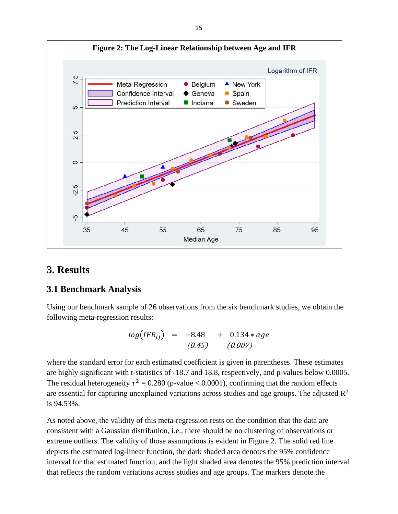

# **3. Results**

## **3.1 Benchmark Analysis**

Using our benchmark sample of 26 observations from the six benchmark studies, we obtain the following meta-regression results:

$$
log(IFR_{ij}) = -8.48 + 0.134 * age
$$
  
(0.45) (0.007)

where the standard error for each estimated coefficient is given in parentheses. These estimates are highly significant with t-statistics of -18.7 and 18.8, respectively, and p-values below 0.0005. The residual heterogeneity  $\tau^2 = 0.280$  (p-value < 0.0001), confirming that the random effects are essential for capturing unexplained variations across studies and age groups. The adjusted  $\mathbb{R}^2$ is 94.53%.

As noted above, the validity of this meta-regression rests on the condition that the data are consistent with a Gaussian distribution, i.e., there should be no clustering of observations or extreme outliers. The validity of those assumptions is evident in Figure 2. The solid red line depicts the estimated log-linear function, the dark shaded area denotes the 95% confidence interval for that estimated function, and the light shaded area denotes the 95% prediction interval that reflects the random variations across studies and age groups. The markers denote the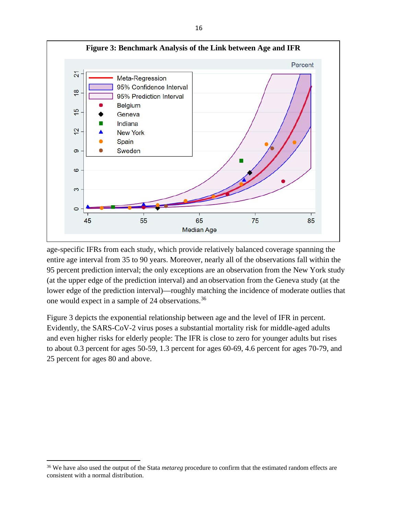

age-specific IFRs from each study, which provide relatively balanced coverage spanning the entire age interval from 35 to 90 years. Moreover, nearly all of the observations fall within the 95 percent prediction interval; the only exceptions are an observation from the New York study (at the upper edge of the prediction interval) and an observation from the Geneva study (at the lower edge of the prediction interval)—roughly matching the incidence of moderate outlies that one would expect in a sample of 24 observations.[36](#page-17-0)

Figure 3 depicts the exponential relationship between age and the level of IFR in percent. Evidently, the SARS-CoV-2 virus poses a substantial mortality risk for middle-aged adults and even higher risks for elderly people: The IFR is close to zero for younger adults but rises to about 0.3 percent for ages 50-59, 1.3 percent for ages 60-69, 4.6 percent for ages 70-79, and 25 percent for ages 80 and above.

<span id="page-17-0"></span><sup>36</sup> We have also used the output of the Stata *metareg* procedure to confirm that the estimated random effects are consistent with a normal distribution.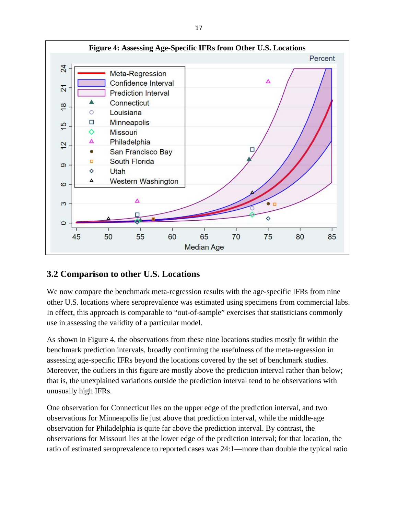

## **3.2 Comparison to other U.S. Locations**

We now compare the benchmark meta-regression results with the age-specific IFRs from nine other U.S. locations where seroprevalence was estimated using specimens from commercial labs. In effect, this approach is comparable to "out-of-sample" exercises that statisticians commonly use in assessing the validity of a particular model.

As shown in Figure 4, the observations from these nine locations studies mostly fit within the benchmark prediction intervals, broadly confirming the usefulness of the meta-regression in assessing age-specific IFRs beyond the locations covered by the set of benchmark studies. Moreover, the outliers in this figure are mostly above the prediction interval rather than below; that is, the unexplained variations outside the prediction interval tend to be observations with unusually high IFRs.

One observation for Connecticut lies on the upper edge of the prediction interval, and two observations for Minneapolis lie just above that prediction interval, while the middle-age observation for Philadelphia is quite far above the prediction interval. By contrast, the observations for Missouri lies at the lower edge of the prediction interval; for that location, the ratio of estimated seroprevalence to reported cases was 24:1—more than double the typical ratio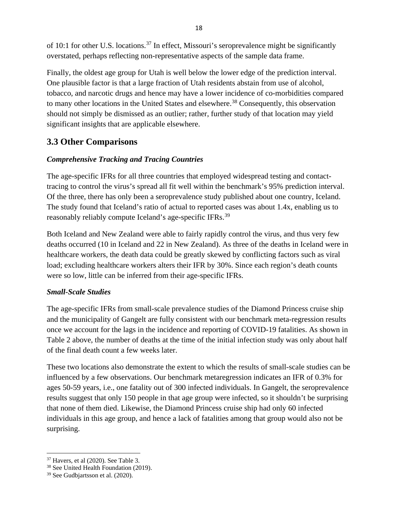of 10:1 for other U.S. locations.<sup>[37](#page-19-0)</sup> In effect, Missouri's seroprevalence might be significantly overstated, perhaps reflecting non-representative aspects of the sample data frame.

Finally, the oldest age group for Utah is well below the lower edge of the prediction interval. One plausible factor is that a large fraction of Utah residents abstain from use of alcohol, tobacco, and narcotic drugs and hence may have a lower incidence of co-morbidities compared to many other locations in the United States and elsewhere.<sup>[38](#page-19-1)</sup> Consequently, this observation should not simply be dismissed as an outlier; rather, further study of that location may yield significant insights that are applicable elsewhere.

# **3.3 Other Comparisons**

## *Comprehensive Tracking and Tracing Countries*

The age-specific IFRs for all three countries that employed widespread testing and contacttracing to control the virus's spread all fit well within the benchmark's 95% prediction interval. Of the three, there has only been a seroprevalence study published about one country, Iceland. The study found that Iceland's ratio of actual to reported cases was about 1.4x, enabling us to reasonably reliably compute Iceland's age-specific IFRs.<sup>39</sup>

Both Iceland and New Zealand were able to fairly rapidly control the virus, and thus very few deaths occurred (10 in Iceland and 22 in New Zealand). As three of the deaths in Iceland were in healthcare workers, the death data could be greatly skewed by conflicting factors such as viral load; excluding healthcare workers alters their IFR by 30%. Since each region's death counts were so low, little can be inferred from their age-specific IFRs.

## *Small-Scale Studies*

The age-specific IFRs from small-scale prevalence studies of the Diamond Princess cruise ship and the municipality of Gangelt are fully consistent with our benchmark meta-regression results once we account for the lags in the incidence and reporting of COVID-19 fatalities. As shown in Table 2 above, the number of deaths at the time of the initial infection study was only about half of the final death count a few weeks later.

These two locations also demonstrate the extent to which the results of small-scale studies can be influenced by a few observations. Our benchmark metaregression indicates an IFR of 0.3% for ages 50-59 years, i.e., one fatality out of 300 infected individuals. In Gangelt, the seroprevalence results suggest that only 150 people in that age group were infected, so it shouldn't be surprising that none of them died. Likewise, the Diamond Princess cruise ship had only 60 infected individuals in this age group, and hence a lack of fatalities among that group would also not be surprising.

<span id="page-19-0"></span> $37$  Havers, et al (2020). See Table 3.

<span id="page-19-1"></span><sup>38</sup> See United Health Foundation (2019).

<span id="page-19-2"></span><sup>39</sup> See Gudbjartsson et al. (2020).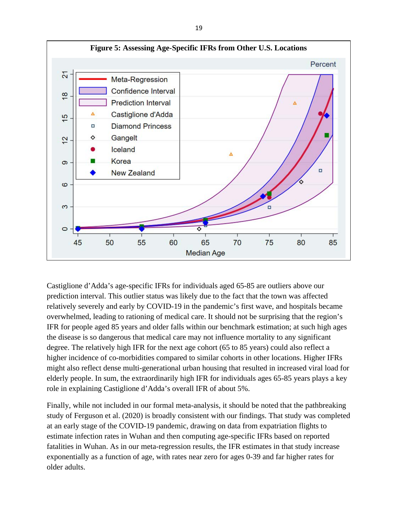

Castiglione d'Adda's age-specific IFRs for individuals aged 65-85 are outliers above our prediction interval. This outlier status was likely due to the fact that the town was affected relatively severely and early by COVID-19 in the pandemic's first wave, and hospitals became overwhelmed, leading to rationing of medical care. It should not be surprising that the region's IFR for people aged 85 years and older falls within our benchmark estimation; at such high ages the disease is so dangerous that medical care may not influence mortality to any significant degree. The relatively high IFR for the next age cohort (65 to 85 years) could also reflect a higher incidence of co-morbidities compared to similar cohorts in other locations. Higher IFRs might also reflect dense multi-generational urban housing that resulted in increased viral load for elderly people. In sum, the extraordinarily high IFR for individuals ages 65-85 years plays a key role in explaining Castiglione d'Adda's overall IFR of about 5%.

Finally, while not included in our formal meta-analysis, it should be noted that the pathbreaking study of Ferguson et al. (2020) is broadly consistent with our findings. That study was completed at an early stage of the COVID-19 pandemic, drawing on data from expatriation flights to estimate infection rates in Wuhan and then computing age-specific IFRs based on reported fatalities in Wuhan. As in our meta-regression results, the IFR estimates in that study increase exponentially as a function of age, with rates near zero for ages 0-39 and far higher rates for older adults.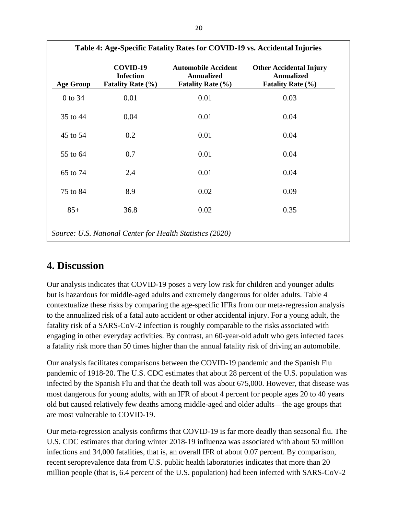|                  |                                                           | Table 4: Age-Specific Fatality Rates for COVID-19 vs. Accidental Injuries   |                                                                                 |
|------------------|-----------------------------------------------------------|-----------------------------------------------------------------------------|---------------------------------------------------------------------------------|
| <b>Age Group</b> | COVID-19<br><b>Infection</b><br><b>Fatality Rate (%)</b>  | <b>Automobile Accident</b><br><b>Annualized</b><br><b>Fatality Rate (%)</b> | <b>Other Accidental Injury</b><br><b>Annualized</b><br><b>Fatality Rate (%)</b> |
| 0 to 34          | 0.01                                                      | 0.01                                                                        | 0.03                                                                            |
| 35 to 44         | 0.04                                                      | 0.01                                                                        | 0.04                                                                            |
| 45 to 54         | 0.2                                                       | 0.01                                                                        | 0.04                                                                            |
| 55 to 64         | 0.7                                                       | 0.01                                                                        | 0.04                                                                            |
| 65 to 74         | 2.4                                                       | 0.01                                                                        | 0.04                                                                            |
| 75 to 84         | 8.9                                                       | 0.02                                                                        | 0.09                                                                            |
| $85+$            | 36.8                                                      | 0.02                                                                        | 0.35                                                                            |
|                  | Source: U.S. National Center for Health Statistics (2020) |                                                                             |                                                                                 |

# **4. Discussion**

Our analysis indicates that COVID-19 poses a very low risk for children and younger adults but is hazardous for middle-aged adults and extremely dangerous for older adults. Table 4 contextualize these risks by comparing the age-specific IFRs from our meta-regression analysis to the annualized risk of a fatal auto accident or other accidental injury. For a young adult, the fatality risk of a SARS-CoV-2 infection is roughly comparable to the risks associated with engaging in other everyday activities. By contrast, an 60-year-old adult who gets infected faces a fatality risk more than 50 times higher than the annual fatality risk of driving an automobile.

Our analysis facilitates comparisons between the COVID-19 pandemic and the Spanish Flu pandemic of 1918-20. The U.S. CDC estimates that about 28 percent of the U.S. population was infected by the Spanish Flu and that the death toll was about 675,000. However, that disease was most dangerous for young adults, with an IFR of about 4 percent for people ages 20 to 40 years old but caused relatively few deaths among middle-aged and older adults—the age groups that are most vulnerable to COVID-19.

Our meta-regression analysis confirms that COVID-19 is far more deadly than seasonal flu. The U.S. CDC estimates that during winter 2018-19 influenza was associated with about 50 million infections and 34,000 fatalities, that is, an overall IFR of about 0.07 percent. By comparison, recent seroprevalence data from U.S. public health laboratories indicates that more than 20 million people (that is, 6.4 percent of the U.S. population) had been infected with SARS-CoV-2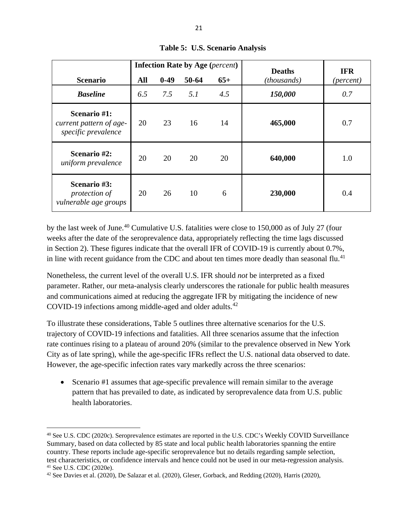|                                                                |     | <b>Infection Rate by Age (percent)</b> |       | <b>Deaths</b> | <b>IFR</b>  |                    |
|----------------------------------------------------------------|-----|----------------------------------------|-------|---------------|-------------|--------------------|
| <b>Scenario</b>                                                | All | $0-49$                                 | 50-64 | $65+$         | (thousands) | ( <i>percent</i> ) |
| <b>Baseline</b>                                                | 6.5 | 7.5                                    | 5.1   | 4.5           | 150,000     | 0.7                |
| Scenario #1:<br>current pattern of age-<br>specific prevalence | 20  | 23                                     | 16    | 14            | 465,000     | 0.7                |
| Scenario #2:<br>uniform prevalence                             | 20  | 20                                     | 20    | 20            | 640,000     | 1.0                |
| Scenario #3:<br>protection of<br>vulnerable age groups         | 20  | 26                                     | 10    | 6             | 230,000     | 0.4                |

**Table 5: U.S. Scenario Analysis**

by the last week of June.<sup>[40](#page-22-0)</sup> Cumulative U.S. fatalities were close to 150,000 as of July 27 (four weeks after the date of the seroprevalence data, appropriately reflecting the time lags discussed in Section 2). These figures indicate that the overall IFR of COVID-19 is currently about 0.7%, in line with recent guidance from the CDC and about ten times more deadly than seasonal flu.<sup>[41](#page-22-1)</sup>

Nonetheless, the current level of the overall U.S. IFR should *not* be interpreted as a fixed parameter. Rather, our meta-analysis clearly underscores the rationale for public health measures and communications aimed at reducing the aggregate IFR by mitigating the incidence of new COVID-19 infections among middle-aged and older adults.<sup>[42](#page-22-2)</sup>

To illustrate these considerations, Table 5 outlines three alternative scenarios for the U.S. trajectory of COVID-19 infections and fatalities. All three scenarios assume that the infection rate continues rising to a plateau of around 20% (similar to the prevalence observed in New York City as of late spring), while the age-specific IFRs reflect the U.S. national data observed to date. However, the age-specific infection rates vary markedly across the three scenarios:

• Scenario #1 assumes that age-specific prevalence will remain similar to the average pattern that has prevailed to date, as indicated by seroprevalence data from U.S. public health laboratories.

<span id="page-22-0"></span><sup>40</sup> See U.S. CDC (2020c). Seroprevalence estimates are reported in the U.S. CDC's Weekly COVID Surveillance Summary, based on data collected by 85 state and local public health laboratories spanning the entire country. These reports include age-specific seroprevalence but no details regarding sample selection, test characteristics, or confidence intervals and hence could not be used in our meta-regression analysis. <sup>41</sup> See U.S. CDC (2020e).

<span id="page-22-2"></span><span id="page-22-1"></span><sup>42</sup> See Davies et al. (2020), De Salazar et al. (2020), Gleser, Gorback, and Redding (2020), Harris (2020),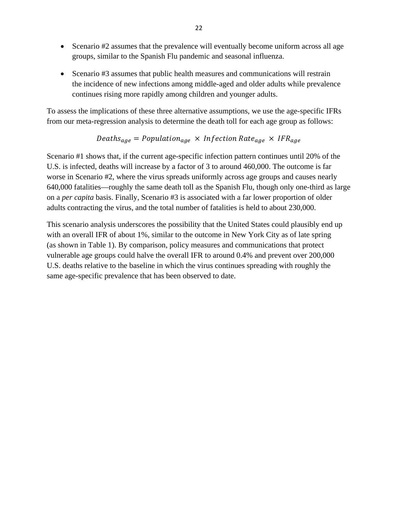- Scenario #2 assumes that the prevalence will eventually become uniform across all age groups, similar to the Spanish Flu pandemic and seasonal influenza.
- Scenario #3 assumes that public health measures and communications will restrain the incidence of new infections among middle-aged and older adults while prevalence continues rising more rapidly among children and younger adults.

To assess the implications of these three alternative assumptions, we use the age-specific IFRs from our meta-regression analysis to determine the death toll for each age group as follows:

$$
Deaths_{age} = Population_{age} \times Infection Rate_{age} \times IFR_{age}
$$

Scenario #1 shows that, if the current age-specific infection pattern continues until 20% of the U.S. is infected, deaths will increase by a factor of 3 to around 460,000. The outcome is far worse in Scenario #2, where the virus spreads uniformly across age groups and causes nearly 640,000 fatalities—roughly the same death toll as the Spanish Flu, though only one-third as large on a *per capita* basis. Finally, Scenario #3 is associated with a far lower proportion of older adults contracting the virus, and the total number of fatalities is held to about 230,000.

This scenario analysis underscores the possibility that the United States could plausibly end up with an overall IFR of about 1%, similar to the outcome in New York City as of late spring (as shown in Table 1). By comparison, policy measures and communications that protect vulnerable age groups could halve the overall IFR to around 0.4% and prevent over 200,000 U.S. deaths relative to the baseline in which the virus continues spreading with roughly the same age-specific prevalence that has been observed to date.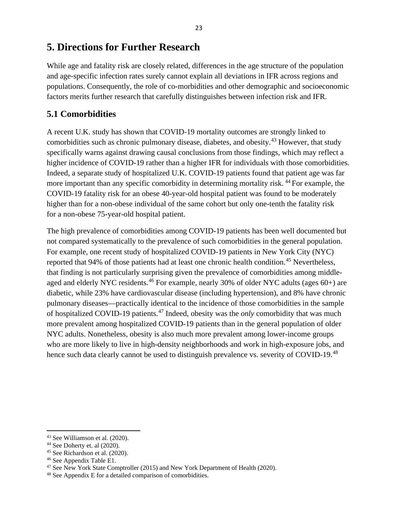# **5. Directions for Further Research**

While age and fatality risk are closely related, differences in the age structure of the population and age-specific infection rates surely cannot explain all deviations in IFR across regions and populations. Consequently, the role of co-morbidities and other demographic and socioeconomic factors merits further research that carefully distinguishes between infection risk and IFR.

# **5.1 Comorbidities**

A recent U.K. study has shown that COVID-19 mortality outcomes are strongly linked to comorbidities such as chronic pulmonary disease, diabetes, and obesity.[43](#page-24-0) However, that study specifically warns against drawing causal conclusions from those findings, which may reflect a higher incidence of COVID-19 rather than a higher IFR for individuals with those comorbidities. Indeed, a separate study of hospitalized U.K. COVID-19 patients found that patient age was far more important than any specific comorbidity in determining mortality risk. <sup>[44](#page-24-1)</sup> For example, the COVID-19 fatality risk for an obese 40-year-old hospital patient was found to be moderately higher than for a non-obese individual of the same cohort but only one-tenth the fatality risk for a non-obese 75-year-old hospital patient.

The high prevalence of comorbidities among COVID-19 patients has been well documented but not compared systematically to the prevalence of such comorbidities in the general population. For example, one recent study of hospitalized COVID-19 patients in New York City (NYC) reported that 94% of those patients had at least one chronic health condition.<sup>[45](#page-24-2)</sup> Nevertheless, that finding is not particularly surprising given the prevalence of comorbidities among middleaged and elderly NYC residents.<sup>46</sup> For example, nearly 30% of older NYC adults (ages  $60+$ ) are diabetic, while 23% have cardiovascular disease (including hypertension), and 8% have chronic pulmonary diseases—practically identical to the incidence of those comorbidities in the sample of hospitalized COVID-19 patients.[47](#page-24-4) Indeed, obesity was the *only* comorbidity that was much more prevalent among hospitalized COVID-19 patients than in the general population of older NYC adults. Nonetheless, obesity is also much more prevalent among lower-income groups who are more likely to live in high-density neighborhoods and work in high-exposure jobs, and hence such data clearly cannot be used to distinguish prevalence vs. severity of COVID-19.<sup>[48](#page-24-5)</sup>

<span id="page-24-0"></span><sup>43</sup> See Williamson et al. (2020).

<span id="page-24-1"></span> $44$  See Doherty et. al  $(2020)$ .

<span id="page-24-2"></span><sup>45</sup> See Richardson et al. (2020).

<span id="page-24-3"></span><sup>46</sup> See Appendix Table E1.

<span id="page-24-4"></span><sup>&</sup>lt;sup>47</sup> See New York State Comptroller (2015) and New York Department of Health (2020).

<span id="page-24-5"></span><sup>48</sup> See Appendix E for a detailed comparison of comorbidities.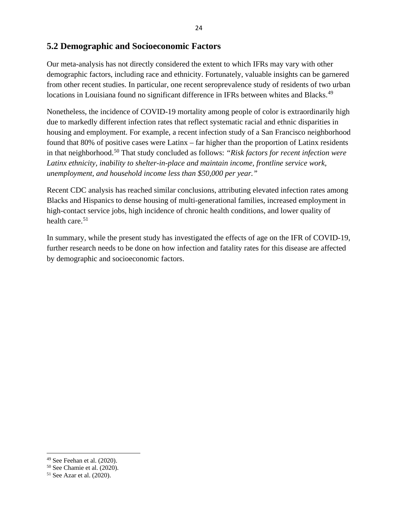## **5.2 Demographic and Socioeconomic Factors**

Our meta-analysis has not directly considered the extent to which IFRs may vary with other demographic factors, including race and ethnicity. Fortunately, valuable insights can be garnered from other recent studies. In particular, one recent seroprevalence study of residents of two urban locations in Louisiana found no significant difference in IFRs between whites and Blacks.<sup>49</sup>

Nonetheless, the incidence of COVID-19 mortality among people of color is extraordinarily high due to markedly different infection rates that reflect systematic racial and ethnic disparities in housing and employment. For example, a recent infection study of a San Francisco neighborhood found that 80% of positive cases were Latinx – far higher than the proportion of Latinx residents in that neighborhood.[50](#page-25-1) That study concluded as follows: *"Risk factors for recent infection were Latinx ethnicity, inability to shelter-in-place and maintain income, frontline service work, unemployment, and household income less than \$50,000 per year."* 

Recent CDC analysis has reached similar conclusions, attributing elevated infection rates among Blacks and Hispanics to dense housing of multi-generational families, increased employment in high-contact service jobs, high incidence of chronic health conditions, and lower quality of health care. $51$ 

In summary, while the present study has investigated the effects of age on the IFR of COVID-19, further research needs to be done on how infection and fatality rates for this disease are affected by demographic and socioeconomic factors.

<span id="page-25-0"></span><sup>49</sup> See Feehan et al. (2020).

<span id="page-25-1"></span><sup>50</sup> See Chamie et al. (2020).

<span id="page-25-2"></span><sup>51</sup> See Azar et al. (2020).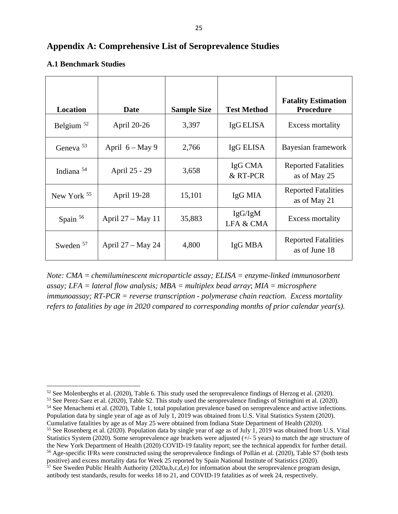## **Appendix A: Comprehensive List of Seroprevalence Studies**

| <b>Location</b> | Date                | <b>Sample Size</b> | <b>Test Method</b>              | <b>Fatality Estimation</b><br><b>Procedure</b> |
|-----------------|---------------------|--------------------|---------------------------------|------------------------------------------------|
| Belgium $52$    | April 20-26         | 3,397              | IgG ELISA                       | Excess mortality                               |
| Geneva $53$     | April $6 - May 9$   | 2,766              | IgG ELISA                       | Bayesian framework                             |
| Indiana $54$    | April 25 - 29       | 3,658              | IgG CMA<br>& RT-PCR             | <b>Reported Fatalities</b><br>as of May 25     |
| New York $55$   | April 19-28         | 15,101             | IgG MIA                         | <b>Reported Fatalities</b><br>as of May 21     |
| Spain $56$      | April $27 - May 11$ | 35,883             | IgG/IgM<br><b>LFA &amp; CMA</b> | Excess mortality                               |
| Sweden $57$     | April $27 - May 24$ | 4,800              | IgG MBA                         | <b>Reported Fatalities</b><br>as of June 18    |

### **A.1 Benchmark Studies**

*Note: CMA = chemiluminescent microparticle assay; ELISA = enzyme-linked immunosorbent assay; LFA = lateral flow analysis; MBA = multiplex bead array*; *MIA = microsphere immunoassay; RT-PCR = reverse transcription - polymerase chain reaction*. *Excess mortality refers to fatalities by age in 2020 compared to corresponding months of prior calendar year(s).*

<span id="page-26-1"></span><sup>53</sup> See Perez-Saez et al. (2020), Table S2. This study used the seroprevalence findings of Stringhini et al. (2020).

<span id="page-26-2"></span><sup>54</sup> See Menachemi et al. (2020), Table 1, total population prevalence based on seroprevalence and active infections. Population data by single year of age as of July 1, 2019 was obtained from U.S. Vital Statistics System (2020). Cumulative fatalities by age as of May 25 were obtained from Indiana State Department of Health (2020).

<span id="page-26-3"></span><sup>55</sup> See Rosenberg et al. (2020). Population data by single year of age as of July 1, 2019 was obtained from U.S. Vital Statistics System (2020). Some seroprevalence age brackets were adjusted (+/- 5 years) to match the age structure of the New York Department of Health (2020) COVID-19 fatality report; see the technical appendix for further detail.<br><sup>56</sup> Age-specific IFRs were constructed using the seroprevalence findings of Pollán et al. (2020), Table S7

<span id="page-26-5"></span><span id="page-26-4"></span>positive) and excess mortality data for Week 25 reported by Spain National Institute of Statistics (2020).  $\frac{57}{2}$  See Sweden Public Health Authority (2020a,b,c,d,e) for information about the seroprevalence program design, antibody test standards, results for weeks 18 to 21, and COVID-19 fatalities as of week 24, respectively.

<span id="page-26-0"></span><sup>&</sup>lt;sup>52</sup> See Molenberghs et al. (2020), Table 6. This study used the seroprevalence findings of Herzog et al. (2020).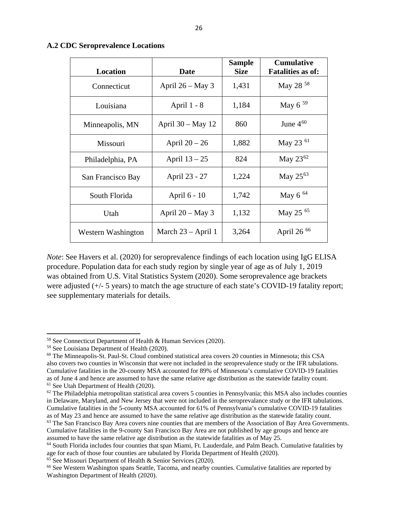| <b>Location</b>    | <b>Date</b>          | <b>Sample</b><br><b>Size</b> | <b>Cumulative</b><br><b>Fatalities as of:</b> |
|--------------------|----------------------|------------------------------|-----------------------------------------------|
| Connecticut        | April $26 - May 3$   | 1,431                        | May 28 <sup>58</sup>                          |
| Louisiana          | April 1 - 8          | 1,184                        | May $6^{59}$                                  |
| Minneapolis, MN    | April $30 - May 12$  | 860                          | June $4^{60}$                                 |
| Missouri           | April $20 - 26$      | 1,882                        | May 23 <sup>61</sup>                          |
| Philadelphia, PA   | April $13 - 25$      | 824                          | May $23^{62}$                                 |
| San Francisco Bay  | April 23 - 27        | 1,224                        | May 25 <sup>63</sup>                          |
| South Florida      | April 6 - 10         | 1,742                        | May $6^{64}$                                  |
| Utah               | April $20 - May 3$   | 1,132                        | May 25 65                                     |
| Western Washington | March $23 - April 1$ | 3,264                        | April 26 <sup>66</sup>                        |

#### **A.2 CDC Seroprevalence Locations**

*Note*: See Havers et al. (2020) for seroprevalence findings of each location using IgG ELISA procedure. Population data for each study region by single year of age as of July 1, 2019 was obtained from U.S. Vital Statistics System (2020). Some seroprevalence age brackets were adjusted (+/- 5 years) to match the age structure of each state's COVID-19 fatality report; see supplementary materials for details.

<span id="page-27-0"></span><sup>58</sup> See Connecticut Department of Health & Human Services (2020).

<span id="page-27-1"></span><sup>59</sup> See Louisiana Department of Health (2020).

<span id="page-27-2"></span><sup>&</sup>lt;sup>60</sup> The Minneapolis-St. Paul-St. Cloud combined statistical area covers 20 counties in Minnesota; this CSA also covers two counties in Wisconsin that were not included in the seroprevalence study or the IFR tabulations. Cumulative fatalities in the 20-county MSA accounted for 89% of Minnesota's cumulative COVID-19 fatalities as of June 4 and hence are assumed to have the same relative age distribution as the statewide fatality count. 61 See Utah Department of Health (2020).

<span id="page-27-4"></span><span id="page-27-3"></span> $62$  The Philadelphia metropolitan statistical area covers 5 counties in Pennsylvania; this MSA also includes counties in Delaware, Maryland, and New Jersey that were not included in the seroprevalance study or the IFR tabulations. Cumulative fatalities in the 5-county MSA accounted for 61% of Pennsylvania's cumulative COVID-19 fatalities as of May 23 and hence are assumed to have the same relative age distribution as the statewide fatality count.

<span id="page-27-5"></span> $<sup>63</sup>$  The San Francisco Bay Area covers nine counties that are members of the Association of Bay Area Governments.</sup> Cumulative fatalities in the 9-county San Francisco Bay Area are not published by age groups and hence are

<span id="page-27-6"></span> $64$  South Florida includes four counties that span Miami, Ft. Lauderdale, and Palm Beach. Cumulative fatalities by age for each of those four counties are tabulated by Florida Department of Health (2020). <sup>65</sup> See Missouri Department of Health & Senior Services (2020).

<span id="page-27-8"></span><span id="page-27-7"></span><sup>&</sup>lt;sup>66</sup> See Western Washington spans Seattle, Tacoma, and nearby counties. Cumulative fatalities are reported by Washington Department of Health (2020).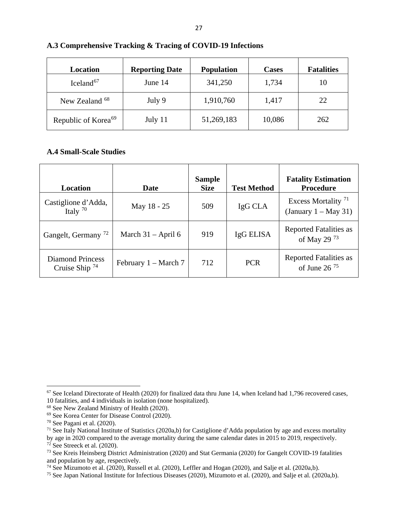| Location                        | <b>Reporting Date</b> | <b>Population</b> | <b>Cases</b> | <b>Fatalities</b> |
|---------------------------------|-----------------------|-------------------|--------------|-------------------|
| Iceland <sup>67</sup>           | June 14               | 341,250           | 1,734        | 10                |
| New Zealand <sup>68</sup>       | July 9                | 1,910,760         | 1,417        | 22                |
| Republic of Korea <sup>69</sup> | July 11               | 51,269,183        | 10,086       | 262               |

#### **A.3 Comprehensive Tracking & Tracing of COVID-19 Infections**

### **A.4 Small-Scale Studies**

| Location                                | Date                   | <b>Sample</b><br><b>Size</b> | <b>Test Method</b> | <b>Fatality Estimation</b><br><b>Procedure</b>            |
|-----------------------------------------|------------------------|------------------------------|--------------------|-----------------------------------------------------------|
| Castiglione d'Adda,<br>Italy $70$       | May 18 - 25            | 509                          | IgG CLA            | Excess Mortality <sup>71</sup><br>(January $1 - May 31$ ) |
| Gangelt, Germany <sup>72</sup>          | March $31 -$ April 6   | 919                          | IgG ELISA          | <b>Reported Fatalities as</b><br>of May 29 <sup>73</sup>  |
| Diamond Princess<br>Cruise Ship $^{74}$ | February $1 - March 7$ | 712                          | <b>PCR</b>         | <b>Reported Fatalities as</b><br>of June 26 $^{75}$       |

by age in 2020 compared to the average mortality during the same calendar dates in 2015 to 2019, respectively.  $72$  See Streeck et al. (2020).

<span id="page-28-0"></span> $67$  See Iceland Directorate of Health (2020) for finalized data thru June 14, when Iceland had 1,796 recovered cases, 10 fatalities, and 4 individuals in isolation (none hospitalized).

<span id="page-28-1"></span><sup>&</sup>lt;sup>68</sup> See New Zealand Ministry of Health (2020).<br><sup>69</sup> See Korea Center for Disease Control (2020).

<span id="page-28-4"></span><span id="page-28-3"></span><span id="page-28-2"></span><sup>&</sup>lt;sup>70</sup> See Pagani et al. (2020).<br><sup>71</sup> See Italy National Institute of Statistics (2020a,b) for Castiglione d'Adda population by age and excess mortality

<span id="page-28-6"></span><span id="page-28-5"></span><sup>73</sup> See Kreis Heinsberg District Administration (2020) and Stat Germania (2020) for Gangelt COVID-19 fatalities and population by age, respectively.<br><sup>74</sup> See Mizumoto et al. (2020), Russell et al. (2020), Leffler and Hogan (2020), and Salje et al. (2020a,b).

<span id="page-28-7"></span>

<span id="page-28-8"></span><sup>&</sup>lt;sup>75</sup> See Japan National Institute for Infectious Diseases (2020), Mizumoto et al. (2020), and Salje et al. (2020a,b).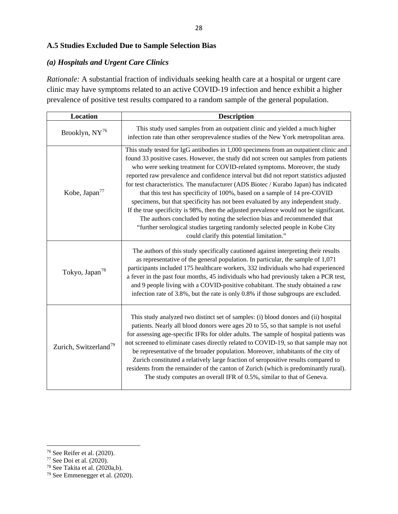## **A.5 Studies Excluded Due to Sample Selection Bias**

### *(a) Hospitals and Urgent Care Clinics*

*Rationale:* A substantial fraction of individuals seeking health care at a hospital or urgent care clinic may have symptoms related to an active COVID-19 infection and hence exhibit a higher prevalence of positive test results compared to a random sample of the general population.

| Location                          | <b>Description</b>                                                                                                                                                                                                                                                                                                                                                                                                                                                                                                                                                                                                                                                                                                                                                                                                                                                                                               |
|-----------------------------------|------------------------------------------------------------------------------------------------------------------------------------------------------------------------------------------------------------------------------------------------------------------------------------------------------------------------------------------------------------------------------------------------------------------------------------------------------------------------------------------------------------------------------------------------------------------------------------------------------------------------------------------------------------------------------------------------------------------------------------------------------------------------------------------------------------------------------------------------------------------------------------------------------------------|
| Brooklyn, NY76                    | This study used samples from an outpatient clinic and yielded a much higher<br>infection rate than other seroprevalence studies of the New York metropolitan area.                                                                                                                                                                                                                                                                                                                                                                                                                                                                                                                                                                                                                                                                                                                                               |
| Kobe, Japan <sup>77</sup>         | This study tested for IgG antibodies in 1,000 specimens from an outpatient clinic and<br>found 33 positive cases. However, the study did not screen out samples from patients<br>who were seeking treatment for COVID-related symptoms. Moreover, the study<br>reported raw prevalence and confidence interval but did not report statistics adjusted<br>for test characteristics. The manufacturer (ADS Biotec / Kurabo Japan) has indicated<br>that this test has specificity of 100%, based on a sample of 14 pre-COVID<br>specimens, but that specificity has not been evaluated by any independent study.<br>If the true specificity is 98%, then the adjusted prevalence would not be significant.<br>The authors concluded by noting the selection bias and recommended that<br>"further serological studies targeting randomly selected people in Kobe City<br>could clarify this potential limitation." |
| Tokyo, Japan <sup>78</sup>        | The authors of this study specifically cautioned against interpreting their results<br>as representative of the general population. In particular, the sample of 1,071<br>participants included 175 healthcare workers, 332 individuals who had experienced<br>a fever in the past four months, 45 individuals who had previously taken a PCR test,<br>and 9 people living with a COVID-positive cohabitant. The study obtained a raw<br>infection rate of 3.8%, but the rate is only 0.8% if those subgroups are excluded.                                                                                                                                                                                                                                                                                                                                                                                      |
| Zurich, Switzerland <sup>79</sup> | This study analyzed two distinct set of samples: (i) blood donors and (ii) hospital<br>patients. Nearly all blood donors were ages 20 to 55, so that sample is not useful<br>for assessing age-specific IFRs for older adults. The sample of hospital patients was<br>not screened to eliminate cases directly related to COVID-19, so that sample may not<br>be representative of the broader population. Moreover, inhabitants of the city of<br>Zurich constituted a relatively large fraction of seropositive results compared to<br>residents from the remainder of the canton of Zurich (which is predominantly rural).<br>The study computes an overall IFR of 0.5%, similar to that of Geneva.                                                                                                                                                                                                           |

<span id="page-29-0"></span><sup>76</sup> See Reifer et al. (2020).

<span id="page-29-1"></span><sup>77</sup> See Doi et al. (2020).

<span id="page-29-2"></span> $78$  See Takita et al. (2020a,b).

<span id="page-29-3"></span><sup>79</sup> See Emmenegger et al. (2020).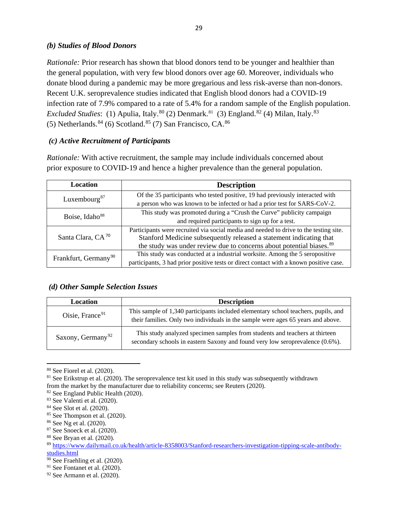## *(b) Studies of Blood Donors*

*Rationale:* Prior research has shown that blood donors tend to be younger and healthier than the general population, with very few blood donors over age 60. Moreover, individuals who donate blood during a pandemic may be more gregarious and less risk-averse than non-donors. Recent U.K. seroprevalence studies indicated that English blood donors had a COVID-19 infection rate of 7.9% compared to a rate of 5.4% for a random sample of the English population. *Excluded Studies*: (1) Apulia, Italy.<sup>80</sup> (2) Denmark.<sup>[81](#page-30-1)</sup> (3) England.<sup>[82](#page-30-2)</sup> (4) Milan, Italy.<sup>83</sup> (5) Netherlands.  $84$  (6) Scotland.  $85$  (7) San Francisco, CA.  $86$ 

## *(c) Active Recruitment of Participants*

*Rationale:* With active recruitment, the sample may include individuals concerned about prior exposure to COVID-19 and hence a higher prevalence than the general population.

| Location                         | <b>Description</b>                                                                     |  |  |
|----------------------------------|----------------------------------------------------------------------------------------|--|--|
| Luxembourg <sup>87</sup>         | Of the 35 participants who tested positive, 19 had previously interacted with          |  |  |
|                                  | a person who was known to be infected or had a prior test for SARS-CoV-2.              |  |  |
| Boise, Idaho <sup>88</sup>       | This study was promoted during a "Crush the Curve" publicity campaign                  |  |  |
|                                  | and required participants to sign up for a test.                                       |  |  |
| Santa Clara, CA <sup>70</sup>    | Participants were recruited via social media and needed to drive to the testing site.  |  |  |
|                                  | Stanford Medicine subsequently released a statement indicating that                    |  |  |
|                                  | the study was under review due to concerns about potential biases. <sup>89</sup>       |  |  |
| Frankfurt, Germany <sup>90</sup> | This study was conducted at a industrial worksite. Among the 5 seropositive            |  |  |
|                                  | participants, 3 had prior positive tests or direct contact with a known positive case. |  |  |

### *(d) Other Sample Selection Issues*

| Location                      | <b>Description</b>                                                                                                                                                     |
|-------------------------------|------------------------------------------------------------------------------------------------------------------------------------------------------------------------|
| Oisie, France <sup>91</sup>   | This sample of 1,340 participants included elementary school teachers, pupils, and<br>their families. Only two individuals in the sample were ages 65 years and above. |
| Saxony, Germany <sup>92</sup> | This study analyzed specimen samples from students and teachers at thirteen<br>secondary schools in eastern Saxony and found very low seroprevalence (0.6%).           |

<span id="page-30-0"></span><sup>80</sup> See Fiorel et al. (2020).

<span id="page-30-1"></span> $81$  See Erikstrup et al. (2020). The seroprevalence test kit used in this study was subsequently withdrawn

from the market by the manufacturer due to reliability concerns; see Reuters (2020).

<span id="page-30-2"></span><sup>82</sup> See England Public Health (2020).

<span id="page-30-3"></span> $83$  See Valenti et al.  $(2020)$ .

<span id="page-30-4"></span><sup>84</sup> See Slot et al. (2020).

<span id="page-30-5"></span><sup>85</sup> See Thompson et al. (2020).

<span id="page-30-6"></span><sup>86</sup> See Ng et al. (2020).

<span id="page-30-7"></span><sup>87</sup> See Snoeck et al. (2020).

<span id="page-30-8"></span><sup>88</sup> See Bryan et al. (2020).

<span id="page-30-9"></span><sup>89</sup> [https://www.dailymail.co.uk/health/article-8358003/Stanford-researchers-investigation-tipping-scale-antibody](https://www.dailymail.co.uk/health/article-8358003/Stanford-researchers-investigation-tipping-scale-antibody-studies.html)[studies.html](https://www.dailymail.co.uk/health/article-8358003/Stanford-researchers-investigation-tipping-scale-antibody-studies.html)

<span id="page-30-10"></span> $\overline{90}$  See Fraehling et al. (2020).

<span id="page-30-11"></span> $91$  See Fontanet et al. (2020).

<span id="page-30-12"></span><sup>92</sup> See Armann et al. (2020).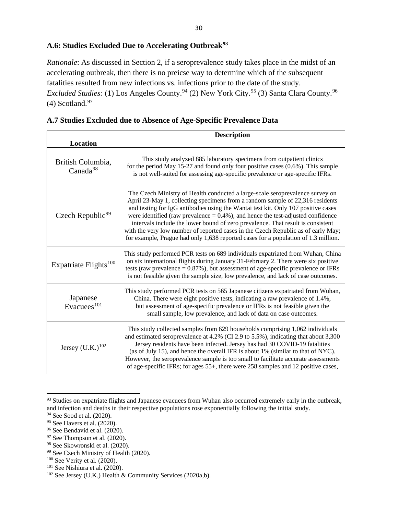# **A.6: Studies Excluded Due to Accelerating Outbreak[93](#page-31-0)**

*Rationale*: As discussed in Section 2, if a seroprevalence study takes place in the midst of an accelerating outbreak, then there is no preicse way to determine which of the subsequent fatalities resulted from new infections vs. infections prior to the date of the study. Excluded Studies: (1) Los Angeles County.<sup>[94](#page-31-1)</sup> (2) New York City.<sup>[95](#page-31-2)</sup> (3) Santa Clara County.<sup>96</sup>  $(4)$  Scotland.<sup>97</sup>

|  |  |  | A.7 Studies Excluded due to Absence of Age-Specific Prevalence Data |  |
|--|--|--|---------------------------------------------------------------------|--|
|  |  |  |                                                                     |  |

| <b>Location</b>                           | <b>Description</b>                                                                                                                                                                                                                                                                                                                                                                                                                                                                                                                                                                                       |
|-------------------------------------------|----------------------------------------------------------------------------------------------------------------------------------------------------------------------------------------------------------------------------------------------------------------------------------------------------------------------------------------------------------------------------------------------------------------------------------------------------------------------------------------------------------------------------------------------------------------------------------------------------------|
| British Columbia,<br>Canada <sup>98</sup> | This study analyzed 885 laboratory specimens from outpatient clinics<br>for the period May 15-27 and found only four positive cases $(0.6\%)$ . This sample<br>is not well-suited for assessing age-specific prevalence or age-specific IFRs.                                                                                                                                                                                                                                                                                                                                                            |
| Czech Republic <sup>99</sup>              | The Czech Ministry of Health conducted a large-scale seroprevalence survey on<br>April 23-May 1, collecting specimens from a random sample of 22,316 residents<br>and testing for IgG antibodies using the Wantai test kit. Only 107 positive cases<br>were identified (raw prevalence $= 0.4\%$ ), and hence the test-adjusted confidence<br>intervals include the lower bound of zero prevalence. That result is consistent<br>with the very low number of reported cases in the Czech Republic as of early May;<br>for example, Prague had only 1,638 reported cases for a population of 1.3 million. |
| Expatriate Flights <sup>100</sup>         | This study performed PCR tests on 689 individuals expatriated from Wuhan, China<br>on six international flights during January 31-February 2. There were six positive<br>tests (raw prevalence $= 0.87\%$ ), but assessment of age-specific prevalence or IFRs<br>is not feasible given the sample size, low prevalence, and lack of case outcomes.                                                                                                                                                                                                                                                      |
| Japanese<br>Evacuees $101$                | This study performed PCR tests on 565 Japanese citizens expatriated from Wuhan,<br>China. There were eight positive tests, indicating a raw prevalence of 1.4%,<br>but assessment of age-specific prevalence or IFRs is not feasible given the<br>small sample, low prevalence, and lack of data on case outcomes.                                                                                                                                                                                                                                                                                       |
| Jersey $(U.K.)^{102}$                     | This study collected samples from 629 households comprising 1,062 individuals<br>and estimated seroprevalence at 4.2% (CI 2.9 to 5.5%), indicating that about 3,300<br>Jersey residents have been infected. Jersey has had 30 COVID-19 fatalities<br>(as of July 15), and hence the overall IFR is about 1% (similar to that of NYC).<br>However, the seroprevalence sample is too small to facilitate accurate assessments<br>of age-specific IFRs; for ages 55+, there were 258 samples and 12 positive cases,                                                                                         |

<span id="page-31-0"></span><sup>&</sup>lt;sup>93</sup> Studies on expatriate flights and Japanese evacuees from Wuhan also occurred extremely early in the outbreak, and infection and deaths in their respective populations rose exponentially following the initial study.

<span id="page-31-2"></span><span id="page-31-1"></span><sup>&</sup>lt;sup>94</sup> See Sood et al. (2020).<br><sup>95</sup> See Havers et al. (2020).

<span id="page-31-3"></span> $96$  See Bendavid et al. (2020).

<span id="page-31-4"></span><sup>97</sup> See Thompson et al. (2020).

<sup>98</sup> See Skowronski et al. (2020).

<span id="page-31-7"></span><span id="page-31-6"></span><span id="page-31-5"></span><sup>99</sup> See Czech Ministry of Health (2020).

<sup>100</sup> See Verity et al. (2020).

<span id="page-31-8"></span> $101$  See Nishiura et al. (2020).

<span id="page-31-9"></span> $102$  See Jersey (U.K.) Health & Community Services (2020a,b).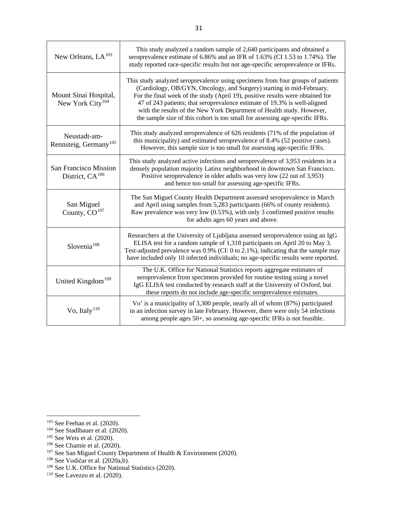| New Orleans, $LA103$                                  | This study analyzed a random sample of 2,640 participants and obtained a<br>seroprevalence estimate of 6.86% and an IFR of 1.63% (CI 1.53 to 1.74%). The<br>study reported race-specific results but not age-specific seroprevalence or IFRs.                                                                                                                                                                                                                                    |
|-------------------------------------------------------|----------------------------------------------------------------------------------------------------------------------------------------------------------------------------------------------------------------------------------------------------------------------------------------------------------------------------------------------------------------------------------------------------------------------------------------------------------------------------------|
| Mount Sinai Hospital,<br>New York City <sup>104</sup> | This study analyzed seroprevalence using specimens from four groups of patients<br>(Cardiology, OB/GYN, Oncology, and Surgery) starting in mid-February.<br>For the final week of the study (April 19), positive results were obtained for<br>47 of 243 patients; that seroprevalence estimate of 19.3% is well-aligned<br>with the results of the New York Department of Health study. However,<br>the sample size of this cohort is too small for assessing age-specific IFRs. |
| Neustadt-am-<br>Rennsteig, Germany <sup>105</sup>     | This study analyzed seroprevalence of 626 residents (71% of the population of<br>this municipality) and estimated seroprevalence of 8.4% (52 positive cases).<br>However, this sample size is too small for assessing age-specific IFRs.                                                                                                                                                                                                                                         |
| San Francisco Mission<br>District, $CA^{106}$         | This study analyzed active infections and seroprevalence of 3,953 residents in a<br>densely population majority Latinx neighborhood in downtown San Francisco.<br>Positive seroprevalence in older adults was very low (22 out of 3,953)<br>and hence too small for assessing age-specific IFRs.                                                                                                                                                                                 |
| San Miguel<br>County, CO <sup>107</sup>               | The San Miguel County Health Department assessed seroprevalence in March<br>and April using samples from 5,283 participants (66% of county residents).<br>Raw prevalence was very low (0.53%), with only 3 confirmed positive results<br>for adults ages 60 years and above.                                                                                                                                                                                                     |
| Slovenia <sup>108</sup>                               | Researchers at the University of Ljubljana assessed seroprevalence using an IgG<br>ELISA test for a random sample of 1,318 participants on April 20 to May 3.<br>Test-adjusted prevalence was 0.9% (CI: 0 to 2.1%), indicating that the sample may<br>have included only 10 infected individuals; no age-specific results were reported.                                                                                                                                         |
| United Kingdom <sup>109</sup>                         | The U.K. Office for National Statistics reports aggregate estimates of<br>seroprevalence from specimens provided for routine testing using a novel<br>IgG ELISA test conducted by research staff at the University of Oxford, but<br>these reports do not include age-specific seroprevalence estimates.                                                                                                                                                                         |
| Vo, Italy <sup>110</sup>                              | Vo' is a municipality of 3,300 people, nearly all of whom (87%) participated<br>in an infection survey in late February. However, there were only 54 infections<br>among people ages 50+, so assessing age-specific IFRs is not feasible.                                                                                                                                                                                                                                        |

<span id="page-32-0"></span> $103$  See Feehan et al. (2020).

<span id="page-32-1"></span><sup>&</sup>lt;sup>104</sup> See Stadlbauer et al. (2020).

<span id="page-32-2"></span><sup>105</sup> See Weis et al. (2020).

<span id="page-32-3"></span><sup>106</sup> See Chamie et al. (2020).

<span id="page-32-4"></span><sup>&</sup>lt;sup>107</sup> See San Miguel County Department of Health & Environment (2020).

<span id="page-32-5"></span><sup>108</sup> See Vodičar et al. (2020a,b).

<span id="page-32-6"></span><sup>&</sup>lt;sup>109</sup> See U.K. Office for National Statistics (2020).

<span id="page-32-7"></span><sup>110</sup> See Lavezzo et al. (2020).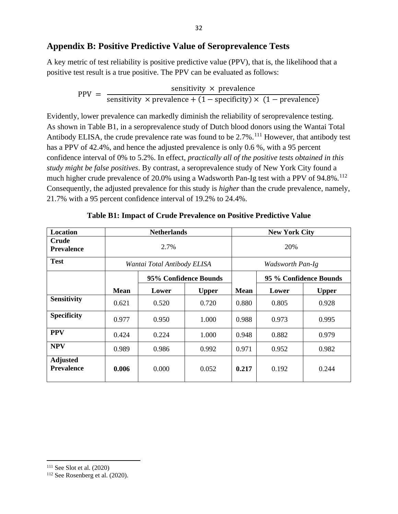## **Appendix B: Positive Predictive Value of Seroprevalence Tests**

A key metric of test reliability is positive predictive value (PPV), that is, the likelihood that a positive test result is a true positive. The PPV can be evaluated as follows:

$$
PPV = \frac{\text{sensitivity} \times \text{prevalence}}{\text{sensitivity} \times \text{prevalence} + (1 - \text{specificity}) \times (1 - \text{prevalence})}
$$

Evidently, lower prevalence can markedly diminish the reliability of seroprevalence testing. As shown in Table B1, in a seroprevalence study of Dutch blood donors using the Wantai Total Antibody ELISA, the crude prevalence rate was found to be 2.7%.<sup>[111](#page-33-0)</sup> However, that antibody test has a PPV of 42.4%, and hence the adjusted prevalence is only 0.6 %, with a 95 percent confidence interval of 0% to 5.2%. In effect, *practically all of the positive tests obtained in this study might be false positives*. By contrast, a seroprevalence study of New York City found a much higher crude prevalence of 20.0% using a Wadsworth Pan-Ig test with a PPV of 94.8%.<sup>[112](#page-33-1)</sup> Consequently, the adjusted prevalence for this study is *higher* than the crude prevalence, namely, 21.7% with a 95 percent confidence interval of 19.2% to 24.4%.

| Location                             | <b>Netherlands</b>          |       |                       |             | <b>New York City</b>   |              |
|--------------------------------------|-----------------------------|-------|-----------------------|-------------|------------------------|--------------|
| <b>Crude</b><br><b>Prevalence</b>    | 2.7%                        |       |                       | 20%         |                        |              |
| <b>Test</b>                          | Wantai Total Antibody ELISA |       |                       |             | Wadsworth Pan-Ig       |              |
|                                      |                             |       | 95% Confidence Bounds |             | 95 % Confidence Bounds |              |
|                                      | <b>Mean</b>                 | Lower | <b>Upper</b>          | <b>Mean</b> | Lower                  | <b>Upper</b> |
| <b>Sensitivity</b>                   | 0.621                       | 0.520 | 0.720                 | 0.880       | 0.805                  | 0.928        |
| <b>Specificity</b>                   | 0.977                       | 0.950 | 1.000                 | 0.988       | 0.973                  | 0.995        |
| <b>PPV</b>                           | 0.424                       | 0.224 | 1.000                 | 0.948       | 0.882                  | 0.979        |
| <b>NPV</b>                           | 0.989                       | 0.986 | 0.992                 | 0.971       | 0.952                  | 0.982        |
| <b>Adjusted</b><br><b>Prevalence</b> | 0.006                       | 0.000 | 0.052                 | 0.217       | 0.192                  | 0.244        |

### **Table B1: Impact of Crude Prevalence on Positive Predictive Value**

<span id="page-33-1"></span><span id="page-33-0"></span><sup>&</sup>lt;sup>111</sup> See Slot et al. (2020) <sup>112</sup> See Rosenberg et al. (2020).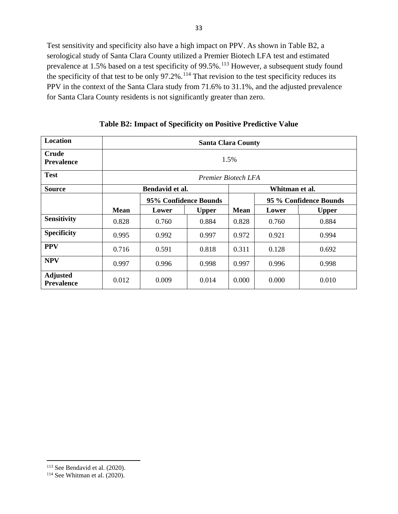Test sensitivity and specificity also have a high impact on PPV. As shown in Table B2, a serological study of Santa Clara County utilized a Premier Biotech LFA test and estimated prevalence at 1.5% based on a test specificity of 99.5%.<sup>113</sup> However, a subsequent study found the specificity of that test to be only  $97.2\%$ .<sup>[114](#page-34-1)</sup> That revision to the test specificity reduces its PPV in the context of the Santa Clara study from 71.6% to 31.1%, and the adjusted prevalence for Santa Clara County residents is not significantly greater than zero.

| Location                             | <b>Santa Clara County</b> |                 |              |             |                        |              |  |
|--------------------------------------|---------------------------|-----------------|--------------|-------------|------------------------|--------------|--|
| <b>Crude</b><br><b>Prevalence</b>    | 1.5%                      |                 |              |             |                        |              |  |
| <b>Test</b>                          | Premier Biotech LFA       |                 |              |             |                        |              |  |
| <b>Source</b>                        |                           | Bendavid et al. |              |             | Whitman et al.         |              |  |
|                                      | 95% Confidence Bounds     |                 |              |             | 95 % Confidence Bounds |              |  |
|                                      | <b>Mean</b>               | Lower           | <b>Upper</b> | <b>Mean</b> | Lower                  | <b>Upper</b> |  |
| <b>Sensitivity</b>                   | 0.828                     | 0.760           | 0.884        | 0.828       | 0.760                  | 0.884        |  |
| <b>Specificity</b>                   | 0.995                     | 0.992           | 0.997        | 0.972       | 0.921                  | 0.994        |  |
| <b>PPV</b>                           | 0.716                     | 0.591           | 0.818        | 0.311       | 0.128                  | 0.692        |  |
| <b>NPV</b>                           | 0.997                     | 0.996           | 0.998        | 0.997       | 0.996                  | 0.998        |  |
| <b>Adjusted</b><br><b>Prevalence</b> | 0.012                     | 0.009           | 0.014        | 0.000       | 0.000                  | 0.010        |  |

**Table B2: Impact of Specificity on Positive Predictive Value**

<sup>&</sup>lt;sup>113</sup> See Bendavid et al. (2020).

<span id="page-34-1"></span><span id="page-34-0"></span> $114$  See Whitman et al. (2020).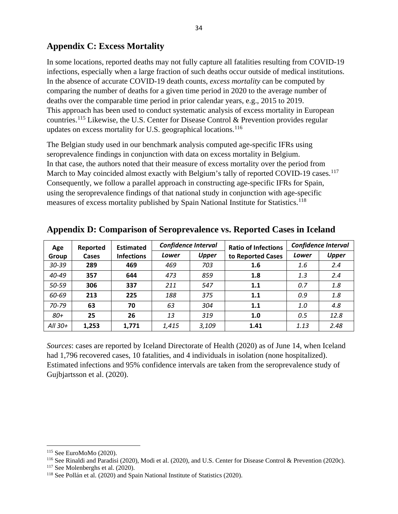# **Appendix C: Excess Mortality**

In some locations, reported deaths may not fully capture all fatalities resulting from COVID-19 infections, especially when a large fraction of such deaths occur outside of medical institutions. In the absence of accurate COVID-19 death counts, *excess mortality* can be computed by comparing the number of deaths for a given time period in 2020 to the average number of deaths over the comparable time period in prior calendar years, e.g., 2015 to 2019. This approach has been used to conduct systematic analysis of excess mortality in European countries.<sup>[115](#page-35-0)</sup> Likewise, the U.S. Center for Disease Control  $\&$  Prevention provides regular updates on excess mortality for U.S. geographical locations.<sup>[116](#page-35-1)</sup>

The Belgian study used in our benchmark analysis computed age-specific IFRs using seroprevalence findings in conjunction with data on excess mortality in Belgium. In that case, the authors noted that their measure of excess mortality over the period from March to May coincided almost exactly with Belgium's tally of reported COVID-19 cases.<sup>[117](#page-35-2)</sup> Consequently, we follow a parallel approach in constructing age-specific IFRs for Spain, using the seroprevalence findings of that national study in conjunction with age-specific measures of excess mortality published by Spain National Institute for Statistics.<sup>[118](#page-35-3)</sup>

| Age       | Reported     | <b>Estimated</b>                                                | <b>Confidence Interval</b> |       | <b>Ratio of Infections</b> | <b>Confidence Interval</b> |      |
|-----------|--------------|-----------------------------------------------------------------|----------------------------|-------|----------------------------|----------------------------|------|
| Group     | <b>Cases</b> | <b>Upper</b><br>Lower<br><b>Infections</b><br>to Reported Cases |                            | Lower | <b>Upper</b>               |                            |      |
| 30-39     | 289          | 469                                                             | 469                        | 703   | 1.6                        | 1.6                        | 2.4  |
| 40-49     | 357          | 644                                                             | 473                        | 859   | 1.8                        | 1.3                        | 2.4  |
| 50-59     | 306          | 337                                                             | 211                        | 547   | 1.1                        | 0.7                        | 1.8  |
| 60-69     | 213          | 225                                                             | 188                        | 375   | 1.1                        | 0.9                        | 1.8  |
| $70 - 79$ | 63           | 70                                                              | 63                         | 304   | 1.1                        | 1.0                        | 4.8  |
| $80+$     | 25           | 26                                                              | 13                         | 319   | 1.0                        | 0.5                        | 12.8 |
| All 30+   | 1,253        | 1,771                                                           | 1,415                      | 3,109 | 1.41                       | 1.13                       | 2.48 |

**Appendix D: Comparison of Seroprevalence vs. Reported Cases in Iceland**

*Sources*: cases are reported by Iceland Directorate of Health (2020) as of June 14, when Iceland had 1,796 recovered cases, 10 fatalities, and 4 individuals in isolation (none hospitalized). Estimated infections and 95% confidence intervals are taken from the seroprevalence study of Gujbjartsson et al. (2020).

<span id="page-35-1"></span><span id="page-35-0"></span><sup>&</sup>lt;sup>115</sup> See EuroMoMo (2020).<br><sup>116</sup> See Rinaldi and Paradisi (2020), Modi et al. (2020), and U.S. Center for Disease Control & Prevention (2020c).

<span id="page-35-2"></span><sup>&</sup>lt;sup>117</sup> See Molenberghs et al. (2020).

<span id="page-35-3"></span><sup>118</sup> See Pollán et al. (2020) and Spain National Institute of Statistics (2020).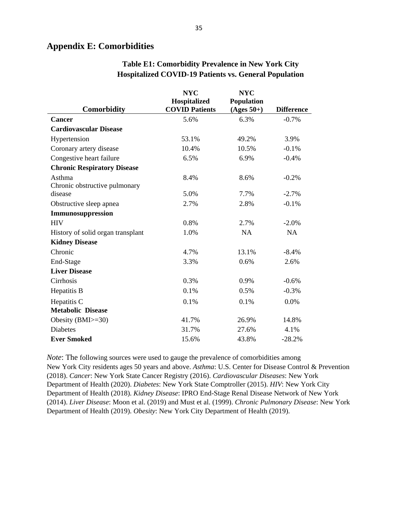## **Appendix E: Comorbidities**

|                                    | <b>NYC</b>            | <b>NYC</b>        |                   |
|------------------------------------|-----------------------|-------------------|-------------------|
|                                    | Hospitalized          | <b>Population</b> |                   |
| <b>Comorbidity</b>                 | <b>COVID Patients</b> | $(Ages 50+)$      | <b>Difference</b> |
| <b>Cancer</b>                      | 5.6%                  | 6.3%              | $-0.7%$           |
| <b>Cardiovascular Disease</b>      |                       |                   |                   |
| Hypertension                       | 53.1%                 | 49.2%             | 3.9%              |
| Coronary artery disease            | 10.4%                 | 10.5%             | $-0.1%$           |
| Congestive heart failure           | 6.5%                  | 6.9%              | $-0.4%$           |
| <b>Chronic Respiratory Disease</b> |                       |                   |                   |
| Asthma                             | 8.4%                  | 8.6%              | $-0.2%$           |
| Chronic obstructive pulmonary      |                       |                   |                   |
| disease                            | 5.0%                  | 7.7%              | $-2.7%$           |
| Obstructive sleep apnea            | 2.7%                  | 2.8%              | $-0.1%$           |
| Immunosuppression                  |                       |                   |                   |
| <b>HIV</b>                         | 0.8%                  | 2.7%              | $-2.0%$           |
| History of solid organ transplant  | 1.0%                  | NA                | NA                |
| <b>Kidney Disease</b>              |                       |                   |                   |
| Chronic                            | 4.7%                  | 13.1%             | $-8.4%$           |
| End-Stage                          | 3.3%                  | 0.6%              | 2.6%              |
| <b>Liver Disease</b>               |                       |                   |                   |
| Cirrhosis                          | 0.3%                  | 0.9%              | $-0.6%$           |
| Hepatitis B                        | 0.1%                  | 0.5%              | $-0.3%$           |
| Hepatitis C                        | 0.1%                  | 0.1%              | 0.0%              |
| <b>Metabolic Disease</b>           |                       |                   |                   |
| Obesity $(BMI>=30)$                | 41.7%                 | 26.9%             | 14.8%             |
| <b>Diabetes</b>                    | 31.7%                 | 27.6%             | 4.1%              |
| <b>Ever Smoked</b>                 | 15.6%                 | 43.8%             | $-28.2%$          |

## **Table E1: Comorbidity Prevalence in New York City Hospitalized COVID-19 Patients vs. General Population**

*Note*: The following sources were used to gauge the prevalence of comorbidities among New York City residents ages 50 years and above. *Asthma*: U.S. Center for Disease Control & Prevention (2018). *Cancer*: New York State Cancer Registry (2016). *Cardiovascular Diseases*: New York Department of Health (2020). *Diabetes*: New York State Comptroller (2015). *HIV*: New York City Department of Health (2018). *Kidney Disease*: IPRO End-Stage Renal Disease Network of New York (2014). *Liver Disease*: Moon et al. (2019) and Must et al. (1999). *Chronic Pulmonary Disease*: New York Department of Health (2019). *Obesity*: New York City Department of Health (2019).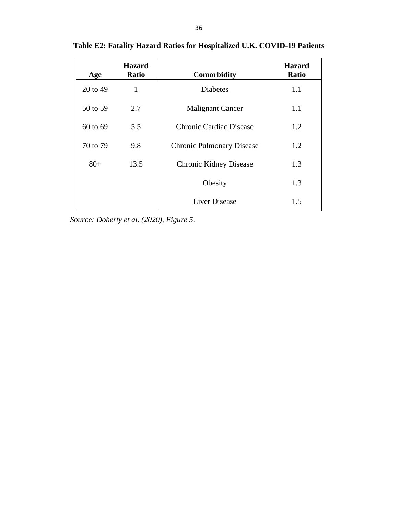| Age      | <b>Hazard</b><br><b>Ratio</b> | <b>Comorbidity</b>               | <b>Hazard</b><br><b>Ratio</b> |
|----------|-------------------------------|----------------------------------|-------------------------------|
| 20 to 49 | 1                             | <b>Diabetes</b>                  | 1.1                           |
| 50 to 59 | 2.7                           | <b>Malignant Cancer</b>          | 1.1                           |
| 60 to 69 | 5.5                           | Chronic Cardiac Disease          | 1.2                           |
| 70 to 79 | 9.8                           | <b>Chronic Pulmonary Disease</b> | 1.2                           |
| $80+$    | 13.5                          | <b>Chronic Kidney Disease</b>    | 1.3                           |
|          |                               | Obesity                          | 1.3                           |
|          |                               | <b>Liver Disease</b>             | 1.5                           |

**Table E2: Fatality Hazard Ratios for Hospitalized U.K. COVID-19 Patients** 

 *Source: Doherty et al. (2020), Figure 5.*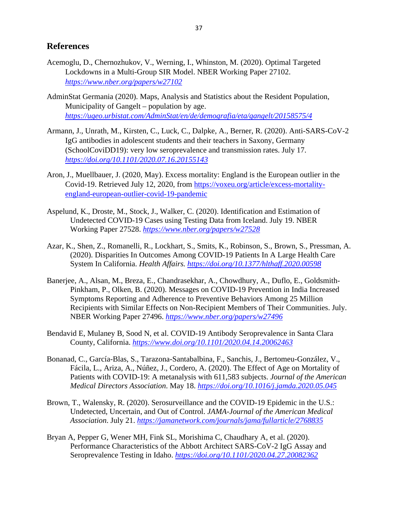## **References**

- Acemoglu, D., Chernozhukov, V., Werning, I., Whinston, M. (2020). Optimal Targeted Lockdowns in a Multi-Group SIR Model. NBER Working Paper 27102. *<https://www.nber.org/papers/w27102>*
- AdminStat Germania (2020). Maps, Analysis and Statistics about the Resident Population, Municipality of Gangelt – population by age. *<https://ugeo.urbistat.com/AdminStat/en/de/demografia/eta/gangelt/20158575/4>*
- Armann, J., Unrath, M., Kirsten, C., Luck, C., Dalpke, A., Berner, R. (2020). Anti-SARS-CoV-2 IgG antibodies in adolescent students and their teachers in Saxony, Germany (SchoolCoviDD19): very low seroprevalence and transmission rates. July 17. *<https://doi.org/10.1101/2020.07.16.20155143>*
- Aron, J., Muellbauer, J. (2020, May). Excess mortality: England is the European outlier in the Covid-19. Retrieved July 12, 2020, from [https://voxeu.org/article/excess-mortality](https://voxeu.org/article/excess-mortality-england-european-outlier-covid-19-pandemic)[england-european-outlier-covid-19-pandemic](https://voxeu.org/article/excess-mortality-england-european-outlier-covid-19-pandemic)
- Aspelund, K., Droste, M., Stock, J., Walker, C. (2020). Identification and Estimation of Undetected COVID-19 Cases using Testing Data from Iceland. July 19. NBER Working Paper 27528. *<https://www.nber.org/papers/w27528>*
- Azar, K., Shen, Z., Romanelli, R., Lockhart, S., Smits, K., Robinson, S., Brown, S., Pressman, A. (2020). Disparities In Outcomes Among COVID-19 Patients In A Large Health Care System In California. *Health Affairs. <https://doi.org/10.1377/hlthaff.2020.00598>*
- Banerjee, A., Alsan, M., Breza, E., Chandrasekhar, A., Chowdhury, A., Duflo, E., Goldsmith-Pinkham, P., Olken, B. (2020). Messages on COVID-19 Prevention in India Increased Symptoms Reporting and Adherence to Preventive Behaviors Among 25 Million Recipients with Similar Effects on Non-Recipient Members of Their Communities. July. NBER Working Paper 27496. *<https://www.nber.org/papers/w27496>*
- Bendavid E, Mulaney B, Sood N, et al. COVID-19 Antibody Seroprevalence in Santa Clara County, California. *<https://www.doi.org/10.1101/2020.04.14.20062463>*
- Bonanad, C., García-Blas, S., Tarazona-Santabalbina, F., Sanchis, J., Bertomeu-González, V., Fácila, L., Ariza, A., Núñez, J., Cordero, A. (2020). The Effect of Age on Mortality of Patients with COVID-19: A metanalysis with 611,583 subjects. *Journal of the American Medical Directors Association*. May 18. *<https://doi.org/10.1016/j.jamda.2020.05.045>*
- Brown, T., Walensky, R. (2020). Serosurveillance and the COVID-19 Epidemic in the U.S.: Undetected, Uncertain, and Out of Control. *JAMA-Journal of the American Medical Association*. July 21. *<https://jamanetwork.com/journals/jama/fullarticle/2768835>*
- Bryan A, Pepper G, Wener MH, Fink SL, Morishima C, Chaudhary A, et al. (2020). Performance Characteristics of the Abbott Architect SARS-CoV-2 IgG Assay and Seroprevalence Testing in Idaho. *<https://doi.org/10.1101/2020.04.27.20082362>*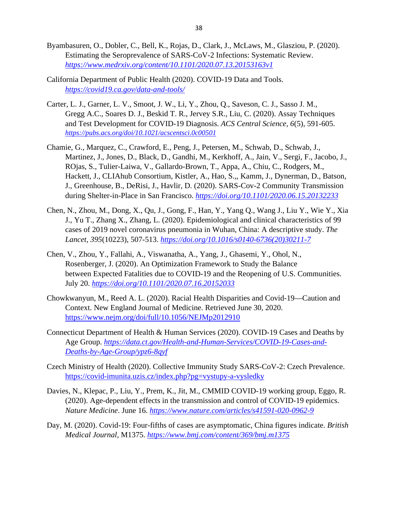- Byambasuren, O., Dobler, C., Bell, K., Rojas, D., Clark, J., McLaws, M., Glasziou, P. (2020). Estimating the Seroprevalence of SARS-CoV-2 Infections: Systematic Review. *<https://www.medrxiv.org/content/10.1101/2020.07.13.20153163v1>*
- California Department of Public Health (2020). COVID-19 Data and Tools. *<https://covid19.ca.gov/data-and-tools/>*
- Carter, L. J., Garner, L. V., Smoot, J. W., Li, Y., Zhou, Q., Saveson, C. J., Sasso J. M., Gregg A.C., Soares D. J., Beskid T. R., Jervey S.R., Liu, C. (2020). Assay Techniques and Test Development for COVID-19 Diagnosis. *ACS Central Science, 6*(5), 591-605. *<https://pubs.acs.org/doi/10.1021/acscentsci.0c00501>*
- Chamie, G., Marquez, C., Crawford, E., Peng, J., Petersen, M., Schwab, D., Schwab, J., Martinez, J., Jones, D., Black, D., Gandhi, M., Kerkhoff, A., Jain, V., Sergi, F., Jacobo, J., ROjas, S., Tulier-Laiwa, V., Gallardo-Brown, T., Appa, A., Chiu, C., Rodgers, M., Hackett, J., CLIAhub Consortium, Kistler, A., Hao, S.,, Kamm, J., Dynerman, D., Batson, J., Greenhouse, B., DeRisi, J., Havlir, D. (2020). SARS-Cov-2 Community Transmission during Shelter-in-Place in San Francisco. *<https://doi.org/10.1101/2020.06.15.20132233>*
- Chen, N., Zhou, M., Dong, X., Qu, J., Gong, F., Han, Y., Yang Q., Wang J., Liu Y., Wie Y., Xia J., Yu T., Zhang X., Zhang, L. (2020). Epidemiological and clinical characteristics of 99 cases of 2019 novel coronavirus pneumonia in Wuhan, China: A descriptive study. *The Lancet, 395*(10223), 507-513. *[https://doi.org/10.1016/s0140-6736\(20\)30211-7](https://doi.org/10.1016/s0140-6736(20)30211-7)*
- Chen, V., Zhou, Y., Fallahi, A., Viswanatha, A., Yang, J., Ghasemi, Y., Ohol, N., Rosenberger, J. (2020). An Optimization Framework to Study the Balance between Expected Fatalities due to COVID-19 and the Reopening of U.S. Communities. July 20. *<https://doi.org/10.1101/2020.07.16.20152033>*
- Chowkwanyun, M., Reed A. L. (2020). Racial Health Disparities and Covid-19—Caution and Context. New England Journal of Medicine. Retrieved June 30, 2020. <https://www.nejm.org/doi/full/10.1056/NEJMp2012910>
- Connecticut Department of Health & Human Services (2020). COVID-19 Cases and Deaths by Age Group. *[https://data.ct.gov/Health-and-Human-Services/COVID-19-Cases-and-](https://data.ct.gov/Health-and-Human-Services/COVID-19-Cases-and-Deaths-by-Age-Group/ypz6-8qyf)[Deaths-by-Age-Group/ypz6-8qyf](https://data.ct.gov/Health-and-Human-Services/COVID-19-Cases-and-Deaths-by-Age-Group/ypz6-8qyf)*
- Czech Ministry of Health (2020). Collective Immunity Study SARS-CoV-2: Czech Prevalence. <https://covid-imunita.uzis.cz/index.php?pg=vystupy-a-vysledky>
- Davies, N., Klepac, P., Liu, Y., Prem, K., Jit, M., CMMID COVID-19 working group, Eggo, R. (2020). Age-dependent effects in the transmission and control of COVID-19 epidemics. *Nature Medicine*. June 16. *<https://www.nature.com/articles/s41591-020-0962-9>*
- Day, M. (2020). Covid-19: Four-fifths of cases are asymptomatic, China figures indicate. *British Medical Journal,* M1375. *<https://www.bmj.com/content/369/bmj.m1375>*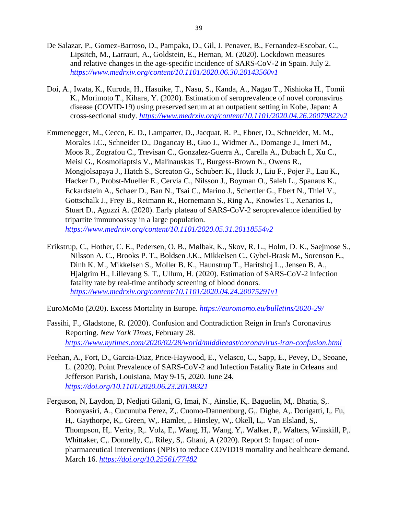- De Salazar, P., Gomez-Barroso, D., Pampaka, D., Gil, J. Penaver, B., Fernandez-Escobar, C., Lipsitch, M., Larrauri, A., Goldstein, E., Hernan, M. (2020). Lockdown measures and relative changes in the age-specific incidence of SARS-CoV-2 in Spain. July 2. *<https://www.medrxiv.org/content/10.1101/2020.06.30.20143560v1>*
- Doi, A., Iwata, K., Kuroda, H., Hasuike, T., Nasu, S., Kanda, A., Nagao T., Nishioka H., Tomii K., Morimoto T., Kihara, Y. (2020). Estimation of seroprevalence of novel coronavirus disease (COVID-19) using preserved serum at an outpatient setting in Kobe, Japan: A cross-sectional study. *<https://www.medrxiv.org/content/10.1101/2020.04.26.20079822v2>*
- Emmenegger, M., Cecco, E. D., Lamparter, D., Jacquat, R. P., Ebner, D., Schneider, M. M., Morales I.C., Schneider D., Dogancay B., Guo J., Widmer A., Domange J., Imeri M., Moos R., Zografou C., Trevisan C., Gonzalez-Guerra A., Carella A., Dubach I., Xu C., Meisl G., Kosmoliaptsis V., Malinauskas T., Burgess-Brown N., Owens R., Mongjolsapaya J., Hatch S., Screaton G., Schubert K., Huck J., Liu F., Pojer F., Lau K., Hacker D., Probst-Mueller E., Cervia C., Nilsson J., Boyman O., Saleh L., Spanaus K., Eckardstein A., Schaer D., Ban N., Tsai C., Marino J., Schertler G., Ebert N., Thiel V., Gottschalk J., Frey B., Reimann R., Hornemann S., Ring A., Knowles T., Xenarios I., Stuart D., Aguzzi A. (2020). Early plateau of SARS-CoV-2 seroprevalence identified by tripartite immunoassay in a large population. *<https://www.medrxiv.org/content/10.1101/2020.05.31.20118554v2>*
- Erikstrup, C., Hother, C. E., Pedersen, O. B., Mølbak, K., Skov, R. L., Holm, D. K., Saejmose S., Nilsson A. C., Brooks P. T., Boldsen J.K., Mikkelsen C., Gybel-Brask M., Sorenson E., Dinh K. M., Mikkelsen S., Moller B. K., Haunstrup T., Haritshoj L., Jensen B. A., Hjalgrim H., Lillevang S. T., Ullum, H. (2020). Estimation of SARS-CoV-2 infection fatality rate by real-time antibody screening of blood donors. *<https://www.medrxiv.org/content/10.1101/2020.04.24.20075291v1>*

EuroMoMo (2020). Excess Mortality in Europe. *<https://euromomo.eu/bulletins/2020-29/>*

- Fassihi, F., Gladstone, R. (2020). Confusion and Contradiction Reign in Iran's Coronavirus Reporting. *New York Times*, February 28. *<https://www.nytimes.com/2020/02/28/world/middleeast/coronavirus-iran-confusion.html>*
- Feehan, A., Fort, D., Garcia-Diaz, Price-Haywood, E., Velasco, C., Sapp, E., Pevey, D., Seoane, L. (2020). Point Prevalence of SARS-CoV-2 and Infection Fatality Rate in Orleans and Jefferson Parish, Louisiana, May 9-15, 2020. June 24. *<https://doi.org/10.1101/2020.06.23.20138321>*
- Ferguson, N, Laydon, D, Nedjati Gilani, G, Imai, N., Ainslie, K,. Baguelin, M,. Bhatia, S,. Boonyasiri, A., Cucunuba Perez, Z,. Cuomo-Dannenburg, G,. Dighe, A,. Dorigatti, I,. Fu, H,. Gaythorpe, K,. Green, W,. Hamlet, ,. Hinsley, W,. Okell, L,. Van Elsland, S,. Thompson, H,. Verity, R,. Volz, E,. Wang, H,. Wang, Y,. Walker, P,. Walters, Winskill, P,. Whittaker, C., Donnelly, C., Riley, S., Ghani, A (2020). Report 9: Impact of nonpharmaceutical interventions (NPIs) to reduce COVID19 mortality and healthcare demand. March 16. *<https://doi.org/10.25561/77482>*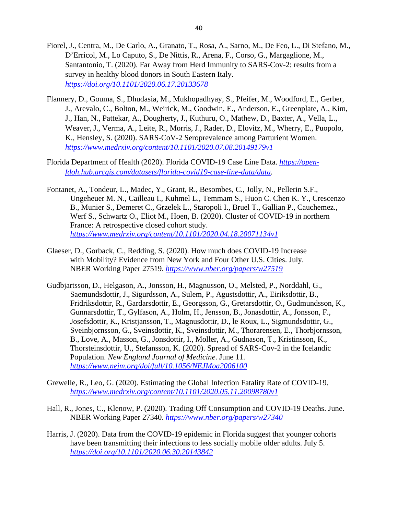- Fiorel, J., Centra, M., De Carlo, A., Granato, T., Rosa, A., Sarno, M., De Feo, L., Di Stefano, M., D'Erricol, M., Lo Caputo, S., De Nittis, R., Arena, F., Corso, G., Margaglione, M., Santantonio, T. (2020). Far Away from Herd Immunity to SARS-Cov-2: results from a survey in healthy blood donors in South Eastern Italy. *<https://doi.org/10.1101/2020.06.17.20133678>*
- Flannery, D., Gouma, S., Dhudasia, M., Mukhopadhyay, S., Pfeifer, M., Woodford, E., Gerber, J., Arevalo, C., Bolton, M., Weirick, M., Goodwin, E., Anderson, E., Greenplate, A., Kim, J., Han, N., Pattekar, A., Dougherty, J., Kuthuru, O., Mathew, D., Baxter, A., Vella, L., Weaver, J., Verma, A., Leite, R., Morris, J., Rader, D., Elovitz, M., Wherry, E., Puopolo, K., Hensley, S. (2020). SARS-CoV-2 Seroprevalence among Parturient Women. *<https://www.medrxiv.org/content/10.1101/2020.07.08.20149179v1>*
- Florida Department of Health (2020). Florida COVID-19 Case Line Data. *[https://open](https://open-fdoh.hub.arcgis.com/datasets/florida-covid19-case-line-data/data)[fdoh.hub.arcgis.com/datasets/florida-covid19-case-line-data/data.](https://open-fdoh.hub.arcgis.com/datasets/florida-covid19-case-line-data/data)*
- Fontanet, A., Tondeur, L., Madec, Y., Grant, R., Besombes, C., Jolly, N., Pellerin S.F., Ungeheuer M. N., Cailleau I., Kuhmel L., Temmam S., Huon C. Chen K. Y., Crescenzo B., Munier S., Demeret C., Grzelek L., Staropoli I., Bruel T., Gallian P., Cauchemez., Werf S., Schwartz O., Eliot M., Hoen, B. (2020). Cluster of COVID-19 in northern France: A retrospective closed cohort study. *<https://www.medrxiv.org/content/10.1101/2020.04.18.20071134v1>*
- Glaeser, D., Gorback, C., Redding, S. (2020). How much does COVID-19 Increase with Mobility? Evidence from New York and Four Other U.S. Cities. July. NBER Working Paper 27519. *<https://www.nber.org/papers/w27519>*
- Gudbjartsson, D., Helgason, A., Jonsson, H., Magnusson, O., Melsted, P., Norddahl, G., Saemundsdottir, J., Sigurdsson, A., Sulem, P., Agustsdottir, A., Eiriksdottir, B., Fridriksdottir, R., Gardarsdottir, E., Georgsson, G., Gretarsdottir, O., Gudmundsson, K., Gunnarsdottir, T., Gylfason, A., Holm, H., Jensson, B., Jonasdottir, A., Jonsson, F., Josefsdottir, K., Kristjansson, T., Magnusdottir, D., le Roux, L., Sigmundsdottir, G., Sveinbjornsson, G., Sveinsdottir, K., Sveinsdottir, M., Thorarensen, E., Thorbjornsson, B., Love, A., Masson, G., Jonsdottir, I., Moller, A., Gudnason, T., Kristinsson, K., Thorsteinsdottir, U., Stefansson, K. (2020). Spread of SARS-Cov-2 in the Icelandic Population. *New England Journal of Medicine*. June 11. *<https://www.nejm.org/doi/full/10.1056/NEJMoa2006100>*
- Grewelle, R., Leo, G. (2020). Estimating the Global Infection Fatality Rate of COVID-19. *<https://www.medrxiv.org/content/10.1101/2020.05.11.20098780v1>*
- Hall, R., Jones, C., Klenow, P. (2020). Trading Off Consumption and COVID-19 Deaths. June. NBER Working Paper 27340. *<https://www.nber.org/papers/w27340>*
- Harris, J. (2020). Data from the COVID-19 epidemic in Florida suggest that younger cohorts have been transmitting their infections to less socially mobile older adults. July 5. *<https://doi.org/10.1101/2020.06.30.20143842>*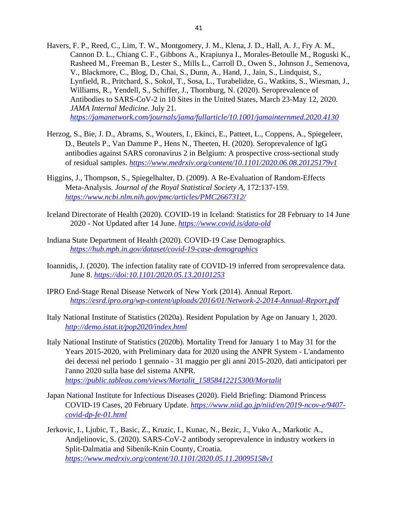- Havers, F. P., Reed, C., Lim, T. W., Montgomery, J. M., Klena, J. D., Hall, A. J., Fry A. M., Cannon D. L., Chiang C. F., Gibbons A., Krapiunya I., Morales-Betoulle M., Roguski K., Rasheed M., Freeman B., Lester S., Mills L., Carroll D., Owen S., Johnson J., Semenova, V., Blackmore, C., Blog, D., Chai, S., Dunn, A., Hand, J., Jain, S., Lindquist, S., Lynfield, R., Pritchard, S., Sokol, T., Sosa, L., Turabelidze, G., Watkins, S., Wiesman, J., Williams, R., Yendell, S., Schiffer, J., Thornburg, N. (2020). Seroprevalence of Antibodies to SARS-CoV-2 in 10 Sites in the United States, March 23-May 12, 2020. *JAMA Internal Medicine*. July 21. *<https://jamanetwork.com/journals/jama/fullarticle/10.1001/jamainternmed.2020.4130>*
- Herzog, S., Bie, J. D., Abrams, S., Wouters, I., Ekinci, E., Patteet, L., Coppens, A., Spiegeleer, D., Beutels P., Van Damme P., Hens N., Theeten, H. (2020). Seroprevalence of IgG antibodies against SARS coronavirus 2 in Belgium: A prospective cross-sectional study of residual samples. *<https://www.medrxiv.org/content/10.1101/2020.06.08.20125179v1>*
- Higgins, J., Thompson, S., Spiegelhalter, D. (2009). A Re-Evaluation of Random-Effects Meta-Analysis. *Journal of the Royal Statistical Society A*, 172:137-159. *<https://www.ncbi.nlm.nih.gov/pmc/articles/PMC2667312/>*
- Iceland Directorate of Health (2020). COVID-19 in Iceland: Statistics for 28 February to 14 June 2020 - Not Updated after 14 June. *<https://www.covid.is/data-old>*
- Indiana State Department of Health (2020). COVID-19 Case Demographics. *<https://hub.mph.in.gov/dataset/covid-19-case-demographics>*
- Ioannidis, J. (2020). The infection fatality rate of COVID-19 inferred from seroprevalence data. June 8. *<https://doi:10.1101/2020.05.13.20101253>*
- IPRO End-Stage Renal Disease Network of New York (2014). Annual Report. *<https://esrd.ipro.org/wp-content/uploads/2016/01/Network-2-2014-Annual-Report.pdf>*
- Italy National Institute of Statistics (2020a). Resident Population by Age on January 1, 2020. *<http://demo.istat.it/pop2020/index.html>*
- Italy National Institute of Statistics (2020b). Mortality Trend for January 1 to May 31 for the Years 2015-2020, with Preliminary data for 2020 using the ANPR System - L'andamento dei decessi nel periodo 1 gennaio - 31 maggio per gli anni 2015-2020, dati anticipatori per l'anno 2020 sulla base del sistema ANPR. *[https://public.tableau.com/views/Mortalit\\_15858412215300/Mortalit](https://public.tableau.com/views/Mortalit_15858412215300/Mortalit)*
- Japan National Institute for Infectious Diseases (2020). Field Briefing: Diamond Princess COVID-19 Cases, 20 February Update. *[https://www.niid.go.jp/niid/en/2019-ncov-e/9407](https://www.niid.go.jp/niid/en/2019-ncov-e/9407-covid-dp-fe-01.html) [covid-dp-fe-01.html](https://www.niid.go.jp/niid/en/2019-ncov-e/9407-covid-dp-fe-01.html)*
- Jerkovic, I., Ljubic, T., Basic, Z., Kruzic, I., Kunac, N., Bezic, J., Vuko A., Markotic A., Andjelinovic, S. (2020). SARS-CoV-2 antibody seroprevalence in industry workers in Split-Dalmatia and Sibenik-Knin County, Croatia. *<https://www.medrxiv.org/content/10.1101/2020.05.11.20095158v1>*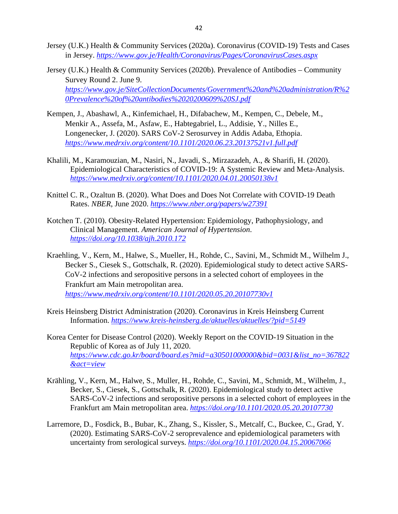- Jersey (U.K.) Health & Community Services (2020a). Coronavirus (COVID-19) Tests and Cases in Jersey. *<https://www.gov.je/Health/Coronavirus/Pages/CoronavirusCases.aspx>*
- Jersey (U.K.) Health & Community Services (2020b). Prevalence of Antibodies Community Survey Round 2. June 9. *[https://www.gov.je/SiteCollectionDocuments/Government%20and%20administration/R%2](https://www.gov.je/SiteCollectionDocuments/Government%20and%20administration/R%20Prevalence%20of%20antibodies%2020200609%20SJ.pdf) [0Prevalence%20of%20antibodies%2020200609%20SJ.pdf](https://www.gov.je/SiteCollectionDocuments/Government%20and%20administration/R%20Prevalence%20of%20antibodies%2020200609%20SJ.pdf)*
- Kempen, J., Abashawl, A., Kinfemichael, H., Difabachew, M., Kempen, C., Debele, M., Menkir A., Assefa, M., Asfaw, E., Habtegabriel, L., Addisie, Y., Nilles E., Longenecker, J. (2020). SARS CoV-2 Serosurvey in Addis Adaba, Ethopia. *<https://www.medrxiv.org/content/10.1101/2020.06.23.20137521v1.full.pdf>*
- Khalili, M., Karamouzian, M., Nasiri, N., Javadi, S., Mirzazadeh, A., & Sharifi, H. (2020). Epidemiological Characteristics of COVID-19: A Systemic Review and Meta-Analysis. *<https://www.medrxiv.org/content/10.1101/2020.04.01.20050138v1>*
- Knittel C. R., Ozaltun B. (2020). What Does and Does Not Correlate with COVID-19 Death Rates. *NBER*, June 2020. *<https://www.nber.org/papers/w27391>*
- Kotchen T. (2010). Obesity-Related Hypertension: Epidemiology, Pathophysiology, and Clinical Management. *American Journal of Hypertension*. *<https://doi.org/10.1038/ajh.2010.172>*
- Kraehling, V., Kern, M., Halwe, S., Mueller, H., Rohde, C., Savini, M., Schmidt M., Wilhelm J., Becker S., Ciesek S., Gottschalk, R. (2020). Epidemiological study to detect active SARS-CoV-2 infections and seropositive persons in a selected cohort of employees in the Frankfurt am Main metropolitan area. *<https://www.medrxiv.org/content/10.1101/2020.05.20.20107730v1>*
- Kreis Heinsberg District Administration (2020). Coronavirus in Kreis Heinsberg Current Information. *<https://www.kreis-heinsberg.de/aktuelles/aktuelles/?pid=5149>*
- Korea Center for Disease Control (2020). Weekly Report on the COVID-19 Situation in the Republic of Korea as of July 11, 2020. *[https://www.cdc.go.kr/board/board.es?mid=a30501000000&bid=0031&list\\_no=367822](https://www.cdc.go.kr/board/board.es?mid=a30501000000&bid=0031&list_no=367822&act=view) [&act=view](https://www.cdc.go.kr/board/board.es?mid=a30501000000&bid=0031&list_no=367822&act=view)*
- Krähling, V., Kern, M., Halwe, S., Muller, H., Rohde, C., Savini, M., Schmidt, M., Wilhelm, J., Becker, S., Ciesek, S., Gottschalk, R. (2020). Epidemiological study to detect active SARS-CoV-2 infections and seropositive persons in a selected cohort of employees in the Frankfurt am Main metropolitan area. *<https://doi.org/10.1101/2020.05.20.20107730>*
- Larremore, D., Fosdick, B., Bubar, K., Zhang, S., Kissler, S., Metcalf, C., Buckee, C., Grad, Y. (2020). Estimating SARS-CoV-2 seroprevalence and epidemiological parameters with uncertainty from serological surveys. *<https://doi.org/10.1101/2020.04.15.20067066>*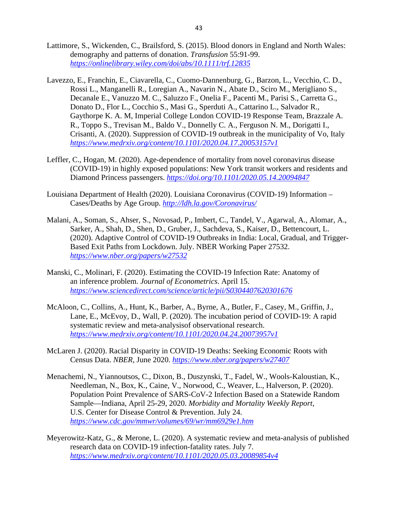- Lattimore, S., Wickenden, C., Brailsford, S. (2015). Blood donors in England and North Wales: demography and patterns of donation. *Transfusion* 55:91-99. *<https://onlinelibrary.wiley.com/doi/abs/10.1111/trf.12835>*
- Lavezzo, E., Franchin, E., Ciavarella, C., Cuomo-Dannenburg, G., Barzon, L., Vecchio, C. D., Rossi L., Manganelli R., Loregian A., Navarin N., Abate D., Sciro M., Merigliano S., Decanale E., Vanuzzo M. C., Saluzzo F., Onelia F., Pacenti M., Parisi S., Carretta G., Donato D., Flor L., Cocchio S., Masi G., Sperduti A., Cattarino L., Salvador R., Gaythorpe K. A. M, Imperial College London COVID-19 Response Team, Brazzale A. R., Toppo S., Trevisan M., Baldo V., Donnelly C. A., Ferguson N. M., Dorigatti I., Crisanti, A. (2020). Suppression of COVID-19 outbreak in the municipality of Vo, Italy *<https://www.medrxiv.org/content/10.1101/2020.04.17.20053157v1>*
- Leffler, C., Hogan, M. (2020). Age-dependence of mortality from novel coronavirus disease (COVID-19) in highly exposed populations: New York transit workers and residents and Diamond Princess passengers. *<https://doi.org/10.1101/2020.05.14.20094847>*
- Louisiana Department of Health (2020). Louisiana Coronavirus (COVID-19) Information Cases/Deaths by Age Group. *<http://ldh.la.gov/Coronavirus/>*
- Malani, A., Soman, S., Ahser, S., Novosad, P., Imbert, C., Tandel, V., Agarwal, A., Alomar, A., Sarker, A., Shah, D., Shen, D., Gruber, J., Sachdeva, S., Kaiser, D., Bettencourt, L. (2020). Adaptive Control of COVID-19 Outbreaks in India: Local, Gradual, and Trigger-Based Exit Paths from Lockdown. July. NBER Working Paper 27532. *<https://www.nber.org/papers/w27532>*
- Manski, C., Molinari, F. (2020). Estimating the COVID-19 Infection Rate: Anatomy of an inference problem. *Journal of Econometrics*. April 15. *<https://www.sciencedirect.com/science/article/pii/S0304407620301676>*
- McAloon, C., Collins, A., Hunt, K., Barber, A., Byrne, A., Butler, F., Casey, M., Griffin, J., Lane, E., McEvoy, D., Wall, P. (2020). The incubation period of COVID-19: A rapid systematic review and meta-analysisof observational research. *<https://www.medrxiv.org/content/10.1101/2020.04.24.20073957v1>*
- McLaren J. (2020). Racial Disparity in COVID-19 Deaths: Seeking Economic Roots with Census Data. *NBER*, June 2020. *<https://www.nber.org/papers/w27407>*
- Menachemi, N., Yiannoutsos, C., Dixon, B., Duszynski, T., Fadel, W., Wools-Kaloustian, K., Needleman, N., Box, K., Caine, V., Norwood, C., Weaver, L., Halverson, P. (2020). Population Point Prevalence of SARS-CoV-2 Infection Based on a Statewide Random Sample—Indiana, April 25-29, 2020. *Morbidity and Mortality Weekly Report*, U.S. Center for Disease Control & Prevention. July 24. *<https://www.cdc.gov/mmwr/volumes/69/wr/mm6929e1.htm>*
- Meyerowitz-Katz, G., & Merone, L. (2020). A systematic review and meta-analysis of published research data on COVID-19 infection-fatality rates. July 7. *<https://www.medrxiv.org/content/10.1101/2020.05.03.20089854v4>*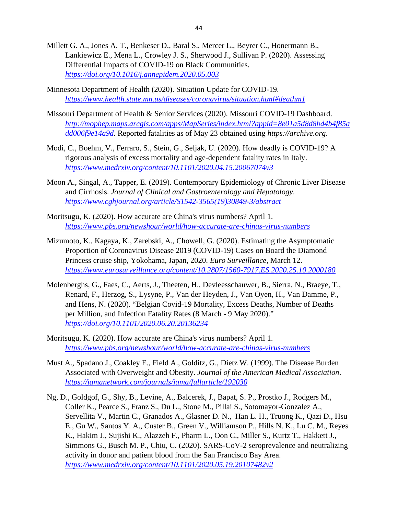- Millett G. A., Jones A. T., Benkeser D., Baral S., Mercer L., Beyrer C., Honermann B., Lankiewicz E., Mena L., Crowley J. S., Sherwood J., Sullivan P. (2020). Assessing Differential Impacts of COVID-19 on Black Communities. *<https://doi.org/10.1016/j.annepidem.2020.05.003>*
- Minnesota Department of Health (2020). Situation Update for COVID-19. *<https://www.health.state.mn.us/diseases/coronavirus/situation.html#deathm1>*
- Missouri Department of Health & Senior Services (2020). Missouri COVID-19 Dashboard. *[http://mophep.maps.arcgis.com/apps/MapSeries/index.html?appid=8e01a5d8d8bd4b4f85a](http://mophep.maps.arcgis.com/apps/MapSeries/index.html?appid=8e01a5d8d8bd4b4f85add006f9e14a9d) [dd006f9e14a9d.](http://mophep.maps.arcgis.com/apps/MapSeries/index.html?appid=8e01a5d8d8bd4b4f85add006f9e14a9d)* Reported fatalities as of May 23 obtained using *https://archive.org*.
- Modi, C., Boehm, V., Ferraro, S., Stein, G., Seljak, U. (2020). How deadly is COVID-19? A rigorous analysis of excess mortality and age-dependent fatality rates in Italy. *<https://www.medrxiv.org/content/10.1101/2020.04.15.20067074v3>*
- Moon A., Singal, A., Tapper, E. (2019). Contemporary Epidemiology of Chronic Liver Disease and Cirrhosis. *Journal of Clinical and Gastroenterology and Hepatology*. *[https://www.cghjournal.org/article/S1542-3565\(19\)30849-3/abstract](https://www.cghjournal.org/article/S1542-3565(19)30849-3/abstract)*
- Moritsugu, K. (2020). How accurate are China's virus numbers? April 1. *<https://www.pbs.org/newshour/world/how-accurate-are-chinas-virus-numbers>*
- Mizumoto, K., Kagaya, K., Zarebski, A., Chowell, G. (2020). Estimating the Asymptomatic Proportion of Coronavirus Disease 2019 (COVID-19) Cases on Board the Diamond Princess cruise ship, Yokohama, Japan, 2020. *Euro Surveillance*, March 12. *<https://www.eurosurveillance.org/content/10.2807/1560-7917.ES.2020.25.10.2000180>*
- Molenberghs, G., Faes, C., Aerts, J., Theeten, H., Devleesschauwer, B., Sierra, N., Braeye, T., Renard, F., Herzog, S., Lysyne, P., Van der Heyden, J., Van Oyen, H., Van Damme, P., and Hens, N. (2020). "Belgian Covid-19 Mortality, Excess Deaths, Number of Deaths per Million, and Infection Fatality Rates (8 March - 9 May 2020)." *<https://doi.org/10.1101/2020.06.20.20136234>*
- Moritsugu, K. (2020). How accurate are China's virus numbers? April 1. *<https://www.pbs.org/newshour/world/how-accurate-are-chinas-virus-numbers>*
- Must A., Spadano J., Coakley E., Field A., Golditz, G., Dietz W. (1999). The Disease Burden Associated with Overweight and Obesity. *Journal of the American Medical Association*. *<https://jamanetwork.com/journals/jama/fullarticle/192030>*
- Ng, D., Goldgof, G., Shy, B., Levine, A., Balcerek, J., Bapat, S. P., Prostko J., Rodgers M., Coller K., Pearce S., Franz S., Du L., Stone M., Pillai S., Sotomayor-Gonzalez A., Servellita V., Martin C., Granados A., Glasner D. N., Han L. H., Truong K., Qazi D., Hsu E., Gu W., Santos Y. A., Custer B., Green V., Williamson P., Hills N. K., Lu C. M., Reyes K., Hakim J., Sujishi K., Alazzeh F., Pharm L., Oon C., Miller S., Kurtz T., Hakkett J., Simmons G., Busch M. P., Chiu, C. (2020). SARS-CoV-2 seroprevalence and neutralizing activity in donor and patient blood from the San Francisco Bay Area. *<https://www.medrxiv.org/content/10.1101/2020.05.19.20107482v2>*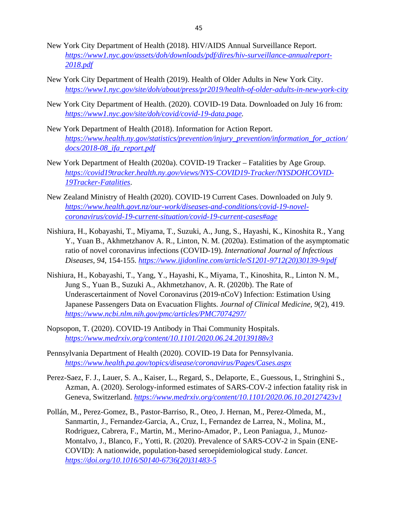- New York City Department of Health (2018). HIV/AIDS Annual Surveillance Report. *[https://www1.nyc.gov/assets/doh/downloads/pdf/dires/hiv-surveillance-annualreport-](https://www1.nyc.gov/assets/doh/downloads/pdf/dires/hiv-surveillance-annualreport-2018.pdf)[2018.pdf](https://www1.nyc.gov/assets/doh/downloads/pdf/dires/hiv-surveillance-annualreport-2018.pdf)*
- New York City Department of Health (2019). Health of Older Adults in New York City. *<https://www1.nyc.gov/site/doh/about/press/pr2019/health-of-older-adults-in-new-york-city>*
- New York City Department of Health. (2020). COVID-19 Data. Downloaded on July 16 from: *[https://www1.nyc.gov/site/doh/covid/covid-19-data.page.](https://www1.nyc.gov/site/doh/covid/covid-19-data.page)*
- New York Department of Health (2018). Information for Action Report. *[https://www.health.ny.gov/statistics/prevention/injury\\_prevention/information\\_for\\_action/](https://www.health.ny.gov/statistics/prevention/injury_prevention/information_for_action/docs/2018-08_ifa_report.pdf) [docs/2018-08\\_ifa\\_report.pdf](https://www.health.ny.gov/statistics/prevention/injury_prevention/information_for_action/docs/2018-08_ifa_report.pdf)*
- New York Department of Health (2020a). COVID-19 Tracker Fatalities by Age Group. *[https://covid19tracker.health.ny.gov/views/NYS-COVID19-Tracker/NYSDOHCOVID-](https://covid19tracker.health.ny.gov/views/NYS-COVID19-Tracker/NYSDOHCOVID-19Tracker-Fatalities)[19Tracker-Fatalities](https://covid19tracker.health.ny.gov/views/NYS-COVID19-Tracker/NYSDOHCOVID-19Tracker-Fatalities)*.
- New Zealand Ministry of Health (2020). COVID-19 Current Cases. Downloaded on July 9. *[https://www.health.govt.nz/our-work/diseases-and-conditions/covid-19-novel](https://www.health.govt.nz/our-work/diseases-and-conditions/covid-19-novel-coronavirus/covid-19-current-situation/covid-19-current-cases#age)[coronavirus/covid-19-current-situation/covid-19-current-cases#age](https://www.health.govt.nz/our-work/diseases-and-conditions/covid-19-novel-coronavirus/covid-19-current-situation/covid-19-current-cases#age)*
- Nishiura, H., Kobayashi, T., Miyama, T., Suzuki, A., Jung, S., Hayashi, K., Kinoshita R., Yang Y., Yuan B., Akhmetzhanov A. R., Linton, N. M. (2020a). Estimation of the asymptomatic ratio of novel coronavirus infections (COVID-19). *International Journal of Infectious Diseases, 94*, 154-155. *[https://www.ijidonline.com/article/S1201-9712\(20\)30139-9/pdf](https://www.ijidonline.com/article/S1201-9712(20)30139-9/pdf)*
- Nishiura, H., Kobayashi, T., Yang, Y., Hayashi, K., Miyama, T., Kinoshita, R., Linton N. M., Jung S., Yuan B., Suzuki A., Akhmetzhanov, A. R. (2020b). The Rate of Underascertainment of Novel Coronavirus (2019-nCoV) Infection: Estimation Using Japanese Passengers Data on Evacuation Flights. *Journal of Clinical Medicine, 9*(2), 419. *<https://www.ncbi.nlm.nih.gov/pmc/articles/PMC7074297/>*
- Nopsopon, T. (2020). COVID-19 Antibody in Thai Community Hospitals. *<https://www.medrxiv.org/content/10.1101/2020.06.24.20139188v3>*
- Pennsylvania Department of Health (2020). COVID-19 Data for Pennsylvania. *<https://www.health.pa.gov/topics/disease/coronavirus/Pages/Cases.aspx>*
- Perez-Saez, F. J., Lauer, S. A., Kaiser, L., Regard, S., Delaporte, E., Guessous, I., Stringhini S., Azman, A. (2020). Serology-informed estimates of SARS-COV-2 infection fatality risk in Geneva, Switzerland. *<https://www.medrxiv.org/content/10.1101/2020.06.10.20127423v1>*
- Pollán, M., Perez-Gomez, B., Pastor-Barriso, R., Oteo, J. Hernan, M., Perez-Olmeda, M., Sanmartin, J., Fernandez-Garcia, A., Cruz, I., Fernandez de Larrea, N., Molina, M., Rodriguez, Cabrera, F., Martin, M., Merino-Amador, P., Leon Paniagua, J., Munoz-Montalvo, J., Blanco, F., Yotti, R. (2020). Prevalence of SARS-COV-2 in Spain (ENE-COVID): A nationwide, population-based seroepidemiological study. *Lancet*. *[https://doi.org/10.1016/S0140-6736\(20\)31483-5](https://doi.org/10.1016/S0140-6736(20)31483-5)*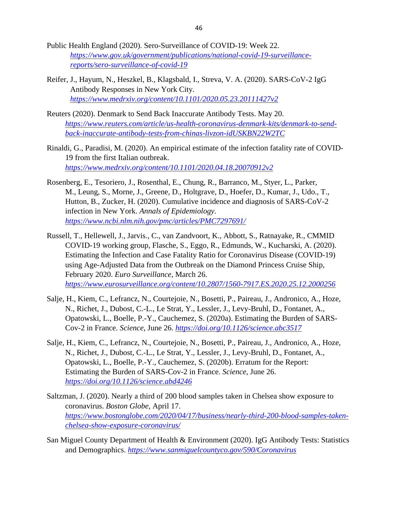- Public Health England (2020). Sero-Surveillance of COVID-19: Week 22. *[https://www.gov.uk/government/publications/national-covid-19-surveillance](https://www.gov.uk/government/publications/national-covid-19-surveillance-reports/sero-surveillance-of-covid-19)[reports/sero-surveillance-of-covid-19](https://www.gov.uk/government/publications/national-covid-19-surveillance-reports/sero-surveillance-of-covid-19)*
- Reifer, J., Hayum, N., Heszkel, B., Klagsbald, I., Streva, V. A. (2020). SARS-CoV-2 IgG Antibody Responses in New York City. *<https://www.medrxiv.org/content/10.1101/2020.05.23.20111427v2>*
- Reuters (2020). Denmark to Send Back Inaccurate Antibody Tests. May 20. *[https://www.reuters.com/article/us-health-coronavirus-denmark-kits/denmark-to-send](https://www.reuters.com/article/us-health-coronavirus-denmark-kits/denmark-to-send-back-inaccurate-antibody-tests-from-chinas-livzon-idUSKBN22W2TC)[back-inaccurate-antibody-tests-from-chinas-livzon-idUSKBN22W2TC](https://www.reuters.com/article/us-health-coronavirus-denmark-kits/denmark-to-send-back-inaccurate-antibody-tests-from-chinas-livzon-idUSKBN22W2TC)*
- Rinaldi, G., Paradisi, M. (2020). An empirical estimate of the infection fatality rate of COVID-19 from the first Italian outbreak. *<https://www.medrxiv.org/content/10.1101/2020.04.18.20070912v2>*
- Rosenberg, E., Tesoriero, J., Rosenthal, E., Chung, R., Barranco, M., Styer, L., Parker, M., Leung, S., Morne, J., Greene, D., Holtgrave, D., Hoefer, D., Kumar, J., Udo., T., Hutton, B., Zucker, H. (2020). Cumulative incidence and diagnosis of SARS-CoV-2 infection in New York. *Annals of Epidemiology*. *<https://www.ncbi.nlm.nih.gov/pmc/articles/PMC7297691/>*
- Russell, T., Hellewell, J., Jarvis., C., van Zandvoort, K., Abbott, S., Ratnayake, R., CMMID COVID-19 working group, Flasche, S., Eggo, R., Edmunds, W., Kucharski, A. (2020). Estimating the Infection and Case Fatality Ratio for Coronavirus Disease (COVID-19) using Age-Adjusted Data from the Outbreak on the Diamond Princess Cruise Ship, February 2020. *Euro Surveillance*, March 26. *<https://www.eurosurveillance.org/content/10.2807/1560-7917.ES.2020.25.12.2000256>*
- Salje, H., Kiem, C., Lefrancz, N., Courtejoie, N., Bosetti, P., Paireau, J., Andronico, A., Hoze, N., Richet, J., Dubost, C.-L., Le Strat, Y., Lessler, J., Levy-Bruhl, D., Fontanet, A., Opatowski, L., Boelle, P.-Y., Cauchemez, S. (2020a). Estimating the Burden of SARS-Cov-2 in France. *Science*, June 26. *<https://doi.org/10.1126/science.abc3517>*
- Salje, H., Kiem, C., Lefrancz, N., Courtejoie, N., Bosetti, P., Paireau, J., Andronico, A., Hoze, N., Richet, J., Dubost, C.-L., Le Strat, Y., Lessler, J., Levy-Bruhl, D., Fontanet, A., Opatowski, L., Boelle, P.-Y., Cauchemez, S. (2020b). Erratum for the Report: Estimating the Burden of SARS-Cov-2 in France. *Science*, June 26. *<https://doi.org/10.1126/science.abd4246>*
- Saltzman, J. (2020). Nearly a third of 200 blood samples taken in Chelsea show exposure to coronavirus. *Boston Globe*, April 17. *[https://www.bostonglobe.com/2020/04/17/business/nearly-third-200-blood-samples-taken](https://www.bostonglobe.com/2020/04/17/business/nearly-third-200-blood-samples-taken-chelsea-show-exposure-coronavirus/)[chelsea-show-exposure-coronavirus/](https://www.bostonglobe.com/2020/04/17/business/nearly-third-200-blood-samples-taken-chelsea-show-exposure-coronavirus/)*
- San Miguel County Department of Health & Environment (2020). IgG Antibody Tests: Statistics and Demographics. *<https://www.sanmiguelcountyco.gov/590/Coronavirus>*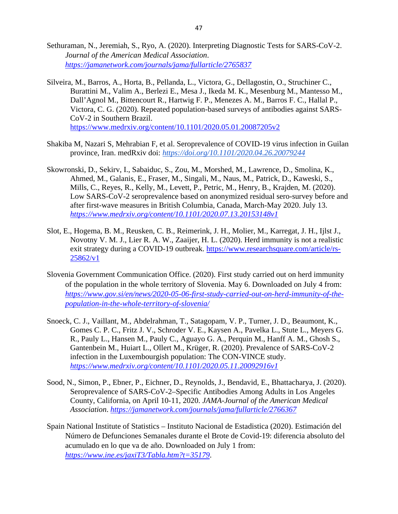- Sethuraman, N., Jeremiah, S., Ryo, A. (2020). Interpreting Diagnostic Tests for SARS-CoV-2. *Journal of the American Medical Association*. *<https://jamanetwork.com/journals/jama/fullarticle/2765837>*
- Silveira, M., Barros, A., Horta, B., Pellanda, L., Victora, G., Dellagostin, O., Struchiner C., Burattini M., Valim A., Berlezi E., Mesa J., Ikeda M. K., Mesenburg M., Mantesso M., Dall'Agnol M., Bittencourt R., Hartwig F. P., Menezes A. M., Barros F. C., Hallal P., Victora, C. G. (2020). Repeated population-based surveys of antibodies against SARS-CoV-2 in Southern Brazil. <https://www.medrxiv.org/content/10.1101/2020.05.01.20087205v2>
- Shakiba M, Nazari S, Mehrabian F, et al. Seroprevalence of COVID-19 virus infection in Guilan province, Iran. medRxiv doi: *<https://doi.org/10.1101/2020.04.26.20079244>*
- Skowronski, D., Sekirv, I., Sabaiduc, S., Zou, M., Morshed, M., Lawrence, D., Smolina, K., Ahmed, M., Galanis, E., Fraser, M., Singali, M., Naus, M., Patrick, D., Kaweski, S., Mills, C., Reyes, R., Kelly, M., Levett, P., Petric, M., Henry, B., Krajden, M. (2020). Low SARS-CoV-2 seroprevalence based on anonymized residual sero-survey before and after first-wave measures in British Columbia, Canada, March-May 2020. July 13. *<https://www.medrxiv.org/content/10.1101/2020.07.13.20153148v1>*
- Slot, E., Hogema, B. M., Reusken, C. B., Reimerink, J. H., Molier, M., Karregat, J. H., Ijlst J., Novotny V. M. J., Lier R. A. W., Zaaijer, H. L. (2020). Herd immunity is not a realistic exit strategy during a COVID-19 outbreak. [https://www.researchsquare.com/article/rs-](https://www.researchsquare.com/article/rs-25862/v1)[25862/v1](https://www.researchsquare.com/article/rs-25862/v1)
- Slovenia Government Communication Office. (2020). First study carried out on herd immunity of the population in the whole territory of Slovenia. May 6. Downloaded on July 4 from: *[https://www.gov.si/en/news/2020-05-06-first-study-carried-out-on-herd-immunity-of-the](https://www.gov.si/en/news/2020-05-06-first-study-carried-out-on-herd-immunity-of-the-population-in-the-whole-territory-of-slovenia/)[population-in-the-whole-territory-of-slovenia/](https://www.gov.si/en/news/2020-05-06-first-study-carried-out-on-herd-immunity-of-the-population-in-the-whole-territory-of-slovenia/)*
- Snoeck, C. J., Vaillant, M., Abdelrahman, T., Satagopam, V. P., Turner, J. D., Beaumont, K., Gomes C. P. C., Fritz J. V., Schroder V. E., Kaysen A., Pavelka L., Stute L., Meyers G. R., Pauly L., Hansen M., Pauly C., Aguayo G. A., Perquin M., Hanff A. M., Ghosh S., Gantenbein M., Huiart L., Ollert M., Krüger, R. (2020). Prevalence of SARS-CoV-2 infection in the Luxembourgish population: The CON-VINCE study. *<https://www.medrxiv.org/content/10.1101/2020.05.11.20092916v1>*
- Sood, N., Simon, P., Ebner, P., Eichner, D., Reynolds, J., Bendavid, E., Bhattacharya, J. (2020). Seroprevalence of SARS-CoV-2–Specific Antibodies Among Adults in Los Angeles County, California, on April 10-11, 2020. *JAMA-Journal of the American Medical Association*. *<https://jamanetwork.com/journals/jama/fullarticle/2766367>*
- Spain National Institute of Statistics Instituto Nacional de Estadistica (2020). Estimación del Número de Defunciones Semanales durante el Brote de Covid-19: diferencia absoluto del acumulado en lo que va de año. Downloaded on July 1 from: *<https://www.ine.es/jaxiT3/Tabla.htm?t=35179>*.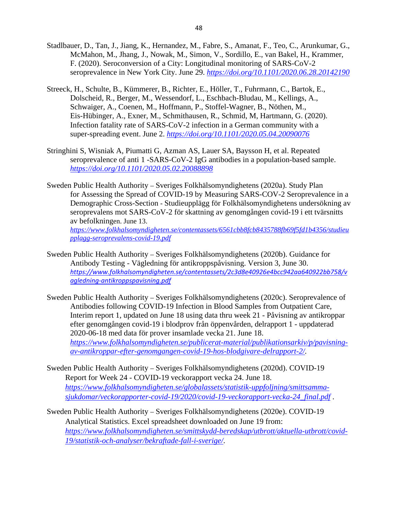- Stadlbauer, D., Tan, J., Jiang, K., Hernandez, M., Fabre, S., Amanat, F., Teo, C., Arunkumar, G., McMahon, M., Jhang, J., Nowak, M., Simon, V., Sordillo, E., van Bakel, H., Krammer, F. (2020). Seroconversion of a City: Longitudinal monitoring of SARS-CoV-2 seroprevalence in New York City. June 29. *<https://doi.org/10.1101/2020.06.28.20142190>*
- Streeck, H., Schulte, B., Kümmerer, B., Richter, E., Höller, T., Fuhrmann, C., Bartok, E., Dolscheid, R., Berger, M., Wessendorf, L., Eschbach-Bludau, M., Kellings, A., Schwaiger, A., Coenen, M., Hoffmann, P., Stoffel-Wagner, B., Nöthen, M., Eis-Hübinger, A., Exner, M., Schmithausen, R., Schmid, M, Hartmann, G. (2020). Infection fatality rate of SARS-CoV-2 infection in a German community with a super-spreading event. June 2. *<https://doi.org/10.1101/2020.05.04.20090076>*
- Stringhini S, Wisniak A, Piumatti G, Azman AS, Lauer SA, Baysson H, et al. Repeated seroprevalence of anti 1 -SARS-CoV-2 IgG antibodies in a population-based sample. *<https://doi.org/10.1101/2020.05.02.20088898>*
- Sweden Public Health Authority Sveriges Folkhälsomyndighetens (2020a). Study Plan for Assessing the Spread of COVID-19 by Measuring SARS-COV-2 Seroprevalence in a Demographic Cross-Section - Studieupplägg för Folkhälsomyndighetens undersökning av seroprevalens mot SARS-CoV-2 för skattning av genomgången covid-19 i ett tvärsnitts av befolkningen. June 13. *[https://www.folkhalsomyndigheten.se/contentassets/6561cbb8fcb8435788fb69f5fd1b4356/studieu](https://www.folkhalsomyndigheten.se/contentassets/6561cbb8fcb8435788fb69f5fd1b4356/studieupplagg-seroprevalens-covid-19.pdf)*

*[pplagg-seroprevalens-covid-19.pdf](https://www.folkhalsomyndigheten.se/contentassets/6561cbb8fcb8435788fb69f5fd1b4356/studieupplagg-seroprevalens-covid-19.pdf)*

- Sweden Public Health Authority Sveriges Folkhälsomyndighetens (2020b). Guidance for Antibody Testing - Vägledning för antikroppspåvisning. Version 3, June 30. *[https://www.folkhalsomyndigheten.se/contentassets/2c3d8e40926e4bcc942aa640922bb758/v](https://www.folkhalsomyndigheten.se/contentassets/2c3d8e40926e4bcc942aa640922bb758/vagledning-antikroppspavisning.pdf) [agledning-antikroppspavisning.pdf](https://www.folkhalsomyndigheten.se/contentassets/2c3d8e40926e4bcc942aa640922bb758/vagledning-antikroppspavisning.pdf)*
- Sweden Public Health Authority Sveriges Folkhälsomyndighetens (2020c). Seroprevalence of Antibodies following COVID-19 Infection in Blood Samples from Outpatient Care, Interim report 1, updated on June 18 using data thru week 21 - Påvisning av antikroppar efter genomgången covid-19 i blodprov från öppenvården, delrapport 1 - uppdaterad 2020-06-18 med data för prover insamlade vecka 21. June 18. *[https://www.folkhalsomyndigheten.se/publicerat-material/publikationsarkiv/p/pavisning](https://www.folkhalsomyndigheten.se/publicerat-material/publikationsarkiv/p/pavisning-av-antikroppar-efter-genomgangen-covid-19-hos-blodgivare-delrapport-2/)[av-antikroppar-efter-genomgangen-covid-19-hos-blodgivare-delrapport-2/.](https://www.folkhalsomyndigheten.se/publicerat-material/publikationsarkiv/p/pavisning-av-antikroppar-efter-genomgangen-covid-19-hos-blodgivare-delrapport-2/)*
- Sweden Public Health Authority Sveriges Folkhälsomyndighetens (2020d). COVID-19 Report for Week 24 - COVID-19 veckorapport vecka 24. June 18. *[https://www.folkhalsomyndigheten.se/globalassets/statistik-uppfoljning/smittsamma](https://www.folkhalsomyndigheten.se/globalassets/statistik-uppfoljning/smittsamma-sjukdomar/veckorapporter-covid-19/2020/covid-19-veckorapport-vecka-24_final.pdf)[sjukdomar/veckorapporter-covid-19/2020/covid-19-veckorapport-vecka-24\\_final.pdf](https://www.folkhalsomyndigheten.se/globalassets/statistik-uppfoljning/smittsamma-sjukdomar/veckorapporter-covid-19/2020/covid-19-veckorapport-vecka-24_final.pdf)* .
- Sweden Public Health Authority Sveriges Folkhälsomyndighetens (2020e). COVID-19 Analytical Statistics. Excel spreadsheet downloaded on June 19 from: *[https://www.folkhalsomyndigheten.se/smittskydd-beredskap/utbrott/aktuella-utbrott/covid-](https://www.folkhalsomyndigheten.se/smittskydd-beredskap/utbrott/aktuella-utbrott/covid-19/statistik-och-analyser/bekraftade-fall-i-sverige/)[19/statistik-och-analyser/bekraftade-fall-i-sverige/](https://www.folkhalsomyndigheten.se/smittskydd-beredskap/utbrott/aktuella-utbrott/covid-19/statistik-och-analyser/bekraftade-fall-i-sverige/)*.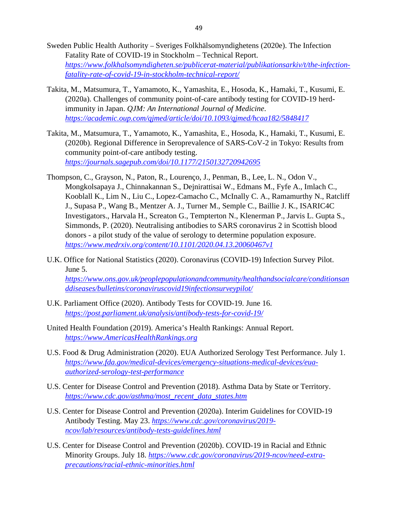- Sweden Public Health Authority Sveriges Folkhälsomyndighetens (2020e). The Infection Fatality Rate of COVID-19 in Stockholm – Technical Report. *[https://www.folkhalsomyndigheten.se/publicerat-material/publikationsarkiv/t/the-infection](https://www.folkhalsomyndigheten.se/publicerat-material/publikationsarkiv/t/the-infection-fatality-rate-of-covid-19-in-stockholm-technical-report/)[fatality-rate-of-covid-19-in-stockholm-technical-report/](https://www.folkhalsomyndigheten.se/publicerat-material/publikationsarkiv/t/the-infection-fatality-rate-of-covid-19-in-stockholm-technical-report/)*
- Takita, M., Matsumura, T., Yamamoto, K., Yamashita, E., Hosoda, K., Hamaki, T., Kusumi, E. (2020a). Challenges of community point-of-care antibody testing for COVID-19 herdimmunity in Japan. *QJM: An International Journal of Medicine*. *<https://academic.oup.com/qjmed/article/doi/10.1093/qjmed/hcaa182/5848417>*
- Takita, M., Matsumura, T., Yamamoto, K., Yamashita, E., Hosoda, K., Hamaki, T., Kusumi, E. (2020b). Regional Difference in Seroprevalence of SARS-CoV-2 in Tokyo: Results from community point-of-care antibody testing. *<https://journals.sagepub.com/doi/10.1177/2150132720942695>*
- Thompson, C., Grayson, N., Paton, R., Lourenço, J., Penman, B., Lee, L. N., Odon V., Mongkolsapaya J., Chinnakannan S., Dejnirattisai W., Edmans M., Fyfe A., Imlach C., Kooblall K., Lim N., Liu C., Lopez-Camacho C., McInally C. A., Ramamurthy N., Ratcliff J., Supasa P., Wang B., Mentzer A. J., Turner M., Semple C., Baillie J. K., ISARIC4C Investigators., Harvala H., Screaton G., Tempterton N., Klenerman P., Jarvis L. Gupta S., Simmonds, P. (2020). Neutralising antibodies to SARS coronavirus 2 in Scottish blood donors - a pilot study of the value of serology to determine population exposure. *<https://www.medrxiv.org/content/10.1101/2020.04.13.20060467v1>*
- U.K. Office for National Statistics (2020). Coronavirus (COVID-19) Infection Survey Pilot. June 5.

*[https://www.ons.gov.uk/peoplepopulationandcommunity/healthandsocialcare/conditionsan](https://www.ons.gov.uk/peoplepopulationandcommunity/healthandsocialcare/conditionsanddiseases/bulletins/coronaviruscovid19infectionsurveypilot/) [ddiseases/bulletins/coronaviruscovid19infectionsurveypilot/](https://www.ons.gov.uk/peoplepopulationandcommunity/healthandsocialcare/conditionsanddiseases/bulletins/coronaviruscovid19infectionsurveypilot/)*

- U.K. Parliament Office (2020). Antibody Tests for COVID-19. June 16. *<https://post.parliament.uk/analysis/antibody-tests-for-covid-19/>*
- United Health Foundation (2019). America's Health Rankings: Annual Report. *[https://www.AmericasHealthRankings.org](https://www.americashealthrankings.org/)*
- U.S. Food & Drug Administration (2020). EUA Authorized Serology Test Performance. July 1. *[https://www.fda.gov/medical-devices/emergency-situations-medical-devices/eua](https://www.fda.gov/medical-devices/emergency-situations-medical-devices/eua-authorized-serology-test-performance)[authorized-serology-test-performance](https://www.fda.gov/medical-devices/emergency-situations-medical-devices/eua-authorized-serology-test-performance)*
- U.S. Center for Disease Control and Prevention (2018). Asthma Data by State or Territory. *[https://www.cdc.gov/asthma/most\\_recent\\_data\\_states.htm](https://www.cdc.gov/asthma/most_recent_data_states.htm)*
- U.S. Center for Disease Control and Prevention (2020a). Interim Guidelines for COVID-19 Antibody Testing. May 23. *[https://www.cdc.gov/coronavirus/2019](https://www.cdc.gov/coronavirus/2019-ncov/lab/resources/antibody-tests-guidelines.html) [ncov/lab/resources/antibody-tests-guidelines.html](https://www.cdc.gov/coronavirus/2019-ncov/lab/resources/antibody-tests-guidelines.html)*
- U.S. Center for Disease Control and Prevention (2020b). COVID-19 in Racial and Ethnic Minority Groups. July 18. *[https://www.cdc.gov/coronavirus/2019-ncov/need-extra](https://www.cdc.gov/coronavirus/2019-ncov/need-extra-precautions/racial-ethnic-minorities.html)[precautions/racial-ethnic-minorities.html](https://www.cdc.gov/coronavirus/2019-ncov/need-extra-precautions/racial-ethnic-minorities.html)*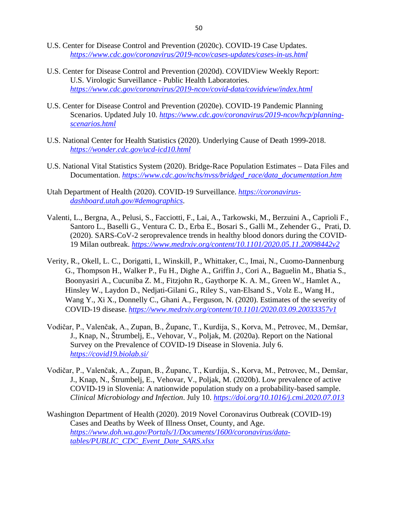- U.S. Center for Disease Control and Prevention (2020c). COVID-19 Case Updates. *<https://www.cdc.gov/coronavirus/2019-ncov/cases-updates/cases-in-us.html>*
- U.S. Center for Disease Control and Prevention (2020d). COVIDView Weekly Report: U.S. Virologic Surveillance - Public Health Laboratories. *<https://www.cdc.gov/coronavirus/2019-ncov/covid-data/covidview/index.html>*
- U.S. Center for Disease Control and Prevention (2020e). COVID-19 Pandemic Planning Scenarios. Updated July 10. *[https://www.cdc.gov/coronavirus/2019-ncov/hcp/planning](https://www.cdc.gov/coronavirus/2019-ncov/hcp/planning-scenarios.html)[scenarios.html](https://www.cdc.gov/coronavirus/2019-ncov/hcp/planning-scenarios.html)*
- U.S. National Center for Health Statistics (2020). Underlying Cause of Death 1999-2018. *<https://wonder.cdc.gov/ucd-icd10.html>*
- U.S. National Vital Statistics System (2020). Bridge-Race Population Estimates Data Files and Documentation. *[https://www.cdc.gov/nchs/nvss/bridged\\_race/data\\_documentation.htm](https://www.cdc.gov/nchs/nvss/bridged_race/data_documentation.htm)*
- Utah Department of Health (2020). COVID-19 Surveillance. *[https://coronavirus](https://coronavirus-dashboard.utah.gov/#demographics)[dashboard.utah.gov/#demographics](https://coronavirus-dashboard.utah.gov/#demographics)*.
- Valenti, L., Bergna, A., Pelusi, S., Facciotti, F., Lai, A., Tarkowski, M., Berzuini A., Caprioli F., Santoro L., Baselli G., Ventura C. D., Erba E., Bosari S., Galli M., Zehender G., Prati, D. (2020). SARS-CoV-2 seroprevalence trends in healthy blood donors during the COVID-19 Milan outbreak. *<https://www.medrxiv.org/content/10.1101/2020.05.11.20098442v2>*
- Verity, R., Okell, L. C., Dorigatti, I., Winskill, P., Whittaker, C., Imai, N., Cuomo-Dannenburg G., Thompson H., Walker P., Fu H., Dighe A., Griffin J., Cori A., Baguelin M., Bhatia S., Boonyasiri A., Cucuniba Z. M., Fitzjohn R., Gaythorpe K. A. M., Green W., Hamlet A., Hinsley W., Laydon D., Nedjati-Gilani G., Riley S., van-Elsand S., Volz E., Wang H., Wang Y., Xi X., Donnelly C., Ghani A., Ferguson, N. (2020). Estimates of the severity of COVID-19 disease. *<https://www.medrxiv.org/content/10.1101/2020.03.09.20033357v1>*
- Vodičar, P., Valenčak, A., Zupan, B., Županc, T., Kurdija, S., Korva, M., Petrovec, M., Demšar, J., Knap, N., Štrumbelj, E., Vehovar, V., Poljak, M. (2020a). Report on the National Survey on the Prevalence of COVID-19 Disease in Slovenia. July 6. *<https://covid19.biolab.si/>*
- Vodičar, P., Valenčak, A., Zupan, B., Županc, T., Kurdija, S., Korva, M., Petrovec, M., Demšar, J., Knap, N., Štrumbelj, E., Vehovar, V., Poljak, M. (2020b). Low prevalence of active COVID-19 in Slovenia: A nationwide population study on a probability-based sample. *Clinical Microbiology and Infection*. July 10. *<https://doi.org/10.1016/j.cmi.2020.07.013>*
- Washington Department of Health (2020). 2019 Novel Coronavirus Outbreak (COVID-19) Cases and Deaths by Week of Illness Onset, County, and Age. *[https://www.doh.wa.gov/Portals/1/Documents/1600/coronavirus/data](https://www.doh.wa.gov/Portals/1/Documents/1600/coronavirus/data-tables/PUBLIC_CDC_Event_Date_SARS.xlsx?ver=20200719021459)[tables/PUBLIC\\_CDC\\_Event\\_Date\\_SARS.xlsx](https://www.doh.wa.gov/Portals/1/Documents/1600/coronavirus/data-tables/PUBLIC_CDC_Event_Date_SARS.xlsx?ver=20200719021459)*